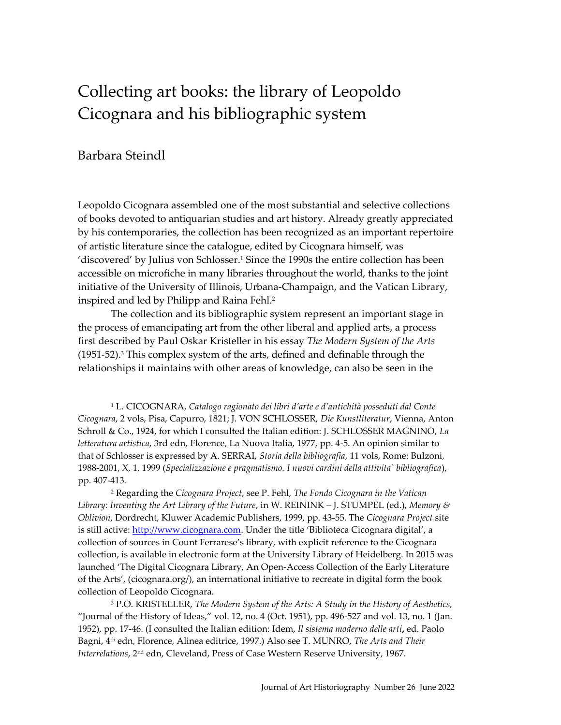# Barbara Steindl

Leopoldo Cicognara assembled one of the most substantial and selective collections of books devoted to antiquarian studies and art history. Already greatly appreciated by his contemporaries, the collection has been recognized as an important repertoire of artistic literature since the catalogue, edited by Cicognara himself, was 'discovered' by Julius von Schlosser.<sup>1</sup> Since the 1990s the entire collection has been accessible on microfiche in many libraries throughout the world, thanks to the joint initiative of the University of Illinois, Urbana-Champaign, and the Vatican Library, inspired and led by Philipp and Raina Fehl.<sup>2</sup>

The collection and its bibliographic system represent an important stage in the process of emancipating art from the other liberal and applied arts, a process first described by Paul Oskar Kristeller in his essay *The Modern System of the Arts* (1951-52). <sup>3</sup> This complex system of the arts, defined and definable through the relationships it maintains with other areas of knowledge, can also be seen in the

<sup>1</sup> L. CICOGNARA, *Catalogo ragionato dei libri d'arte e d'antichità posseduti dal Conte Cicognara*, 2 vols, Pisa, Capurro, 1821; J. VON SCHLOSSER, *Die Kunstliteratur*, Vienna, Anton Schroll & Co., 1924, for which I consulted the Italian edition: J. SCHLOSSER MAGNINO, *La letteratura artistica*, 3rd edn, Florence, La Nuova Italia, 1977, pp. 4-5. An opinion similar to that of Schlosser is expressed by A. SERRAI, *Storia della bibliografia*, 11 vols, Rome: Bulzoni, 1988-2001, X, 1, 1999 (*Specializzazione e pragmatismo. I nuovi cardini della attivita` bibliografica*), pp. 407-413.

<sup>2</sup> Regarding the *Cicognara Project*, see P. Fehl, *The Fondo Cicognara in the Vatican Library: Inventing the Art Library of the Future*, in W. REININK – J. STUMPEL (ed.), *Memory & Oblivion*, Dordrecht, Kluwer Academic Publishers, 1999, pp. 43-55. The *Cicognara Project* site is still active: [http://www.cicognara.com](http://www.cicognara.com/). Under the title 'Biblioteca Cicognara digital', a collection of sources in Count Ferrarese's library, with explicit reference to the Cicognara collection, is available in electronic form at the University Library of Heidelberg. In 2015 was launched 'The Digital Cicognara Library, An Open-Access Collection of the Early Literature of the Arts', (cicognara.org/), an international initiative to recreate in digital form the book collection of Leopoldo Cicognara.

<sup>3</sup> P.O. KRISTELLER, *The Modern System of the Arts: A Study in the History of Aesthetics,*  "Journal of the History of Ideas," vol. 12, no. 4 (Oct. 1951), pp. 496-527 and vol. 13, no. 1 (Jan. 1952), pp. 17-46. (I consulted the Italian edition: Idem, *Il sistema moderno delle arti***,** ed. Paolo Bagni, 4 th edn, Florence, Alinea editrice, 1997.) Also see T. MUNRO, *The Arts and Their*  I*nterrelations,* 2<sup>nd</sup> edn, Cleveland, Press of Case Western Reserve University, 1967.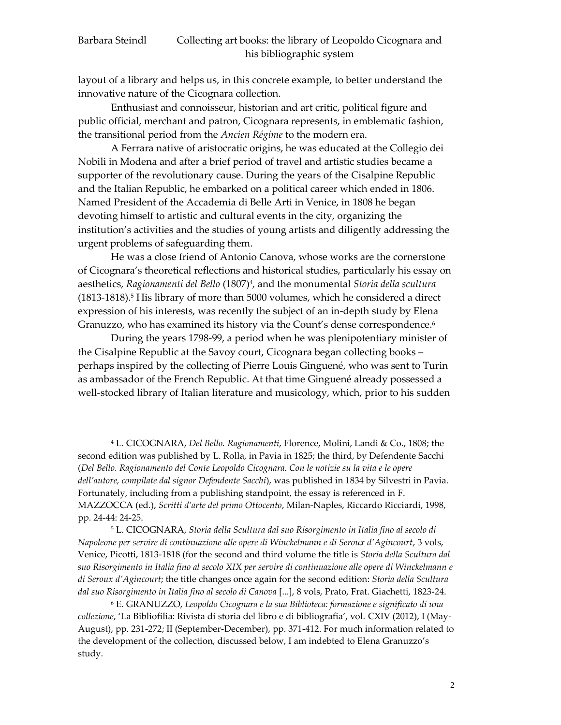layout of a library and helps us, in this concrete example, to better understand the innovative nature of the Cicognara collection.

Enthusiast and connoisseur, historian and art critic, political figure and public official, merchant and patron, Cicognara represents, in emblematic fashion, the transitional period from the *Ancien Régime* to the modern era.

A Ferrara native of aristocratic origins, he was educated at the Collegio dei Nobili in Modena and after a brief period of travel and artistic studies became a supporter of the revolutionary cause. During the years of the Cisalpine Republic and the Italian Republic, he embarked on a political career which ended in 1806. Named President of the Accademia di Belle Arti in Venice, in 1808 he began devoting himself to artistic and cultural events in the city, organizing the institution's activities and the studies of young artists and diligently addressing the urgent problems of safeguarding them.

He was a close friend of Antonio Canova, whose works are the cornerstone of Cicognara's theoretical reflections and historical studies, particularly his essay on aesthetics, *Ragionamenti del Bello* (1807)<sup>4</sup> , and the monumental *Storia della scultura* (1813-1818).<sup>5</sup> His library of more than 5000 volumes, which he considered a direct expression of his interests, was recently the subject of an in-depth study by Elena Granuzzo, who has examined its history via the Count's dense correspondence.<sup>6</sup>

During the years 1798-99, a period when he was plenipotentiary minister of the Cisalpine Republic at the Savoy court, Cicognara began collecting books – perhaps inspired by the collecting of Pierre Louis Ginguené, who was sent to Turin as ambassador of the French Republic. At that time Ginguené already possessed a well-stocked library of Italian literature and musicology, which, prior to his sudden

<sup>4</sup> L. CICOGNARA, *Del Bello. Ragionamenti*, Florence, Molini, Landi & Co., 1808; the second edition was published by L. Rolla, in Pavia in 1825; the third, by Defendente Sacchi (*Del Bello. Ragionamento del Conte Leopoldo Cicognara. Con le notizie su la vita e le opere dell'autore, compilate dal signor Defendente Sacchi*), was published in 1834 by Silvestri in Pavia. Fortunately, including from a publishing standpoint, the essay is referenced in F. MAZZOCCA (ed.), *Scritti d'arte del primo Ottocento*, Milan-Naples, Riccardo Ricciardi, 1998, pp. 24-44: 24-25.

<sup>5</sup> L. CICOGNARA, *Storia della Scultura dal suo Risorgimento in Italia fino al secolo di Napoleone per servire di continuazione alle opere di Winckelmann e di Seroux d'Agincourt*, 3 vols, Venice, Picotti, 1813-1818 (for the second and third volume the title is *Storia della Scultura dal suo Risorgimento in Italia fino al secolo XIX per servire di continuazione alle opere di Winckelmann e di Seroux d'Agincourt*; the title changes once again for the second edition: *Storia della Scultura dal suo Risorgimento in Italia fino al secolo di Canova* [...], 8 vols, Prato, Frat. Giachetti, 1823-24.

<sup>6</sup> E. GRANUZZO, *Leopoldo Cicognara e la sua Biblioteca: formazione e significato di una collezione*, 'La Bibliofilia: Rivista di storia del libro e di bibliografia', vol. CXIV (2012), I (May-August), pp. 231-272; II (September-December), pp. 371-412. For much information related to the development of the collection, discussed below, I am indebted to Elena Granuzzo's study.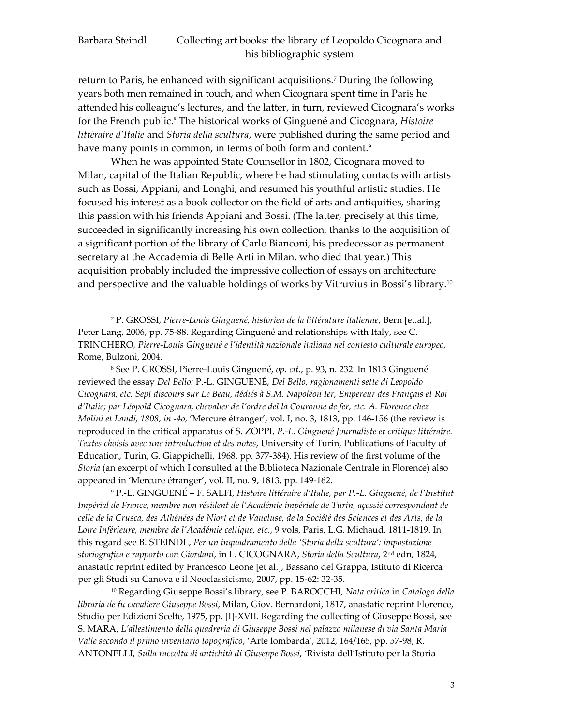return to Paris, he enhanced with significant acquisitions.<sup>7</sup> During the following years both men remained in touch, and when Cicognara spent time in Paris he attended his colleague's lectures, and the latter, in turn, reviewed Cicognara's works for the French public.<sup>8</sup> The historical works of Ginguené and Cicognara, *Histoire littéraire d'Italie* and *Storia della scultura*, were published during the same period and have many points in common, in terms of both form and content.<sup>9</sup>

When he was appointed State Counsellor in 1802, Cicognara moved to Milan, capital of the Italian Republic, where he had stimulating contacts with artists such as Bossi, Appiani, and Longhi, and resumed his youthful artistic studies. He focused his interest as a book collector on the field of arts and antiquities, sharing this passion with his friends Appiani and Bossi. (The latter, precisely at this time, succeeded in significantly increasing his own collection, thanks to the acquisition of a significant portion of the library of Carlo Bianconi, his predecessor as permanent secretary at the Accademia di Belle Arti in Milan, who died that year.) This acquisition probably included the impressive collection of essays on architecture and perspective and the valuable holdings of works by Vitruvius in Bossi's library.<sup>10</sup>

<sup>7</sup> P. GROSSI, *Pierre-Louis Ginguené, historien de la littérature italienne*, Bern [et.al.], Peter Lang, 2006, pp. 75-88. Regarding Ginguené and relationships with Italy, see C. TRINCHERO, *Pierre-Louis Ginguené e l'identità nazionale italiana nel contesto culturale europeo*, Rome, Bulzoni, 2004.

<sup>8</sup> See P. GROSSI, Pierre-Louis Ginguené, *op. cit.*, p. 93, n. 232. In 1813 Ginguené reviewed the essay *Del Bello:* P.-L. GINGUENÉ, *Del Bello, ragionamenti sette di Leopoldo Cicognara, etc. Sept discours sur Le Beau, dédiés à S.M. Napoléon Ier, Empereur des Français et Roi d'Italie; par Léopold Cicognara, chevalier de l'ordre del la Couronne de fer, etc. A. Florence chez Molini et Landi, 1808, in -4o,* 'Mercure étranger', vol. I, no. 3, 1813, pp. 146-156 (the review is reproduced in the critical apparatus of S. ZOPPI, *P.-L. Ginguené Journaliste et critique littéraire. Textes choisis avec une introduction et des notes*, University of Turin, Publications of Faculty of Education, Turin, G. Giappichelli, 1968, pp. 377-384). His review of the first volume of the *Storia* (an excerpt of which I consulted at the Biblioteca Nazionale Centrale in Florence) also appeared in 'Mercure étranger', vol. II, no. 9, 1813, pp. 149-162.

<sup>9</sup> P.-L. GINGUENÉ – F. SALFI, *Histoire littéraire d'Italie, par P.-L. Ginguené, de l'Institut Impérial de France, membre non résident de l'Académie impériale de Turin, açossié correspondant de celle de la Crusca, des Athénées de Niort et de Vaucluse, de la Société des Sciences et des Arts, de la Loire Inférieure, membre de l'Académie celtique, etc.*, 9 vols, Paris, L.G. Michaud, 1811-1819. In this regard see B. STEINDL, *Per un inquadramento della 'Storia della scultura': impostazione storiografica e rapporto con Giordani*, in L. CICOGNARA, *Storia della Scultura*, 2 nd edn, 1824, anastatic reprint edited by Francesco Leone [et al.], Bassano del Grappa, Istituto di Ricerca per gli Studi su Canova e il Neoclassicismo, 2007, pp. 15-62: 32-35.

<sup>10</sup> Regarding Giuseppe Bossi's library, see P. BAROCCHI, *Nota critica* in *Catalogo della libraria de fu cavaliere Giuseppe Bossi*, Milan, Giov. Bernardoni, 1817, anastatic reprint Florence, Studio per Edizioni Scelte, 1975, pp. [I]-XVII. Regarding the collecting of Giuseppe Bossi, see S. MARA, *L'allestimento della quadreria di Giuseppe Bossi nel palazzo milanese di via Santa Maria Valle secondo il primo inventario topografico*, 'Arte lombarda', 2012, 164/165, pp. 57-98; R. ANTONELLI, *Sulla raccolta di antichità di Giuseppe Bossi*, 'Rivista dell'Istituto per la Storia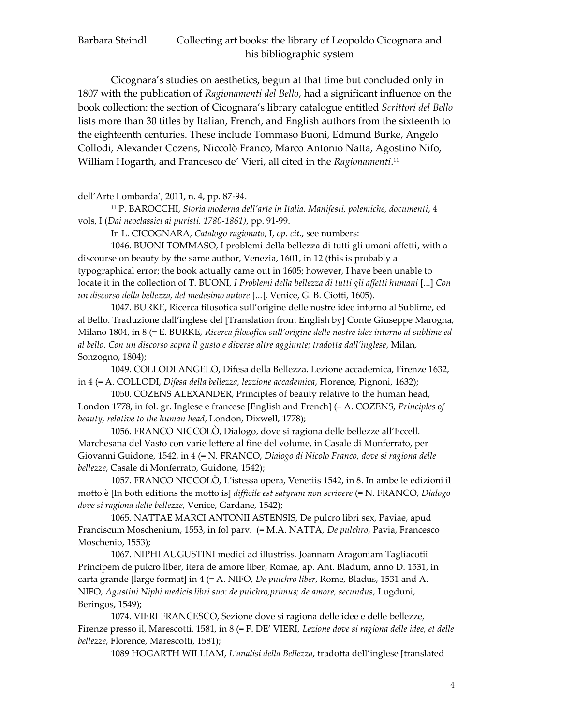<u>.</u>

# Barbara Steindl Collecting art books: the library of Leopoldo Cicognara and his bibliographic system

Cicognara's studies on aesthetics, begun at that time but concluded only in 1807 with the publication of *Ragionamenti del Bello*, had a significant influence on the book collection: the section of Cicognara's library catalogue entitled *Scrittori del Bello* lists more than 30 titles by Italian, French, and English authors from the sixteenth to the eighteenth centuries. These include Tommaso Buoni, Edmund Burke, Angelo Collodi, Alexander Cozens, Niccolò Franco, Marco Antonio Natta, Agostino Nifo, William Hogarth, and Francesco de' Vieri, all cited in the *Ragionamenti*. 11

dell'Arte Lombarda', 2011, n. 4, pp. 87-94.

<sup>11</sup> P. BAROCCHI, *Storia moderna dell'arte in Italia. Manifesti, polemiche, documenti*, 4 vols, I (*Dai neoclassici ai puristi. 1780-1861)*, pp. 91-99.

In L. CICOGNARA, *Catalogo ragionato*, I, *op. cit.*, see numbers:

1046. BUONI TOMMASO, I problemi della bellezza di tutti gli umani affetti, with a discourse on beauty by the same author, Venezia, 1601, in 12 (this is probably a typographical error; the book actually came out in 1605; however, I have been unable to locate it in the collection of T. BUONI, *I Problemi della bellezza di tutti gli affetti humani* [...] *Con un discorso della bellezza, del medesimo autore* [...], Venice, G. B. Ciotti, 1605).

1047. BURKE, Ricerca filosofica sull'origine delle nostre idee intorno al Sublime, ed al Bello. Traduzione dall'inglese del [Translation from English by] Conte Giuseppe Marogna, Milano 1804, in 8 (= E. BURKE, *Ricerca filosofica sull'origine delle nostre idee intorno al sublime ed al bello. Con un discorso sopra il gusto e diverse altre aggiunte; tradotta dall'inglese*, Milan, Sonzogno, 1804);

1049. COLLODI ANGELO, Difesa della Bellezza. Lezione accademica, Firenze 1632, in 4 (= A. COLLODI, *Difesa della bellezza, lezzione accademica*, Florence, Pignoni, 1632);

1050. COZENS ALEXANDER, Principles of beauty relative to the human head, London 1778, in fol. gr. Inglese e francese [English and French] (= A. COZENS, *Principles of beauty, relative to the human head*, London, Dixwell, 1778);

1056. FRANCO NICCOLÒ, Dialogo, dove si ragiona delle bellezze all'Eccell. Marchesana del Vasto con varie lettere al fine del volume, in Casale di Monferrato, per Giovanni Guidone, 1542, in 4 (= N. FRANCO, *Dialogo di Nicolo Franco, dove si ragiona delle bellezze*, Casale di Monferrato, Guidone, 1542);

1057. FRANCO NICCOLÒ, L'istessa opera, Venetiis 1542, in 8. In ambe le edizioni il motto è [In both editions the motto is] *difficile est satyram non scrivere* (= N. FRANCO, *Dialogo dove si ragiona delle bellezze*, Venice, Gardane, 1542);

1065. NATTAE MARCI ANTONII ASTENSIS, De pulcro libri sex, Paviae, apud Franciscum Moschenium, 1553, in fol parv. (= M.A. NATTA, *De pulchro*, Pavia, Francesco Moschenio, 1553);

1067. NIPHI AUGUSTINI medici ad illustriss. Joannam Aragoniam Tagliacotii Principem de pulcro liber, itera de amore liber, Romae, ap. Ant. Bladum, anno D. 1531, in carta grande [large format] in 4 (= A. NIFO, *De pulchro liber*, Rome, Bladus, 1531 and A. NIFO, *Agustini Niphi medicis libri suo: de pulchro,primus; de amore, secundus*, Lugduni, Beringos, 1549);

1074. VIERI FRANCESCO, Sezione dove si ragiona delle idee e delle bellezze*,* Firenze presso il, Marescotti, 1581, in 8 (= F. DE' VIERI, *Lezione dove si ragiona delle idee, et delle bellezze*, Florence, Marescotti, 1581);

1089 HOGARTH WILLIAM, *L'analisi della Bellezza*, tradotta dell'inglese [translated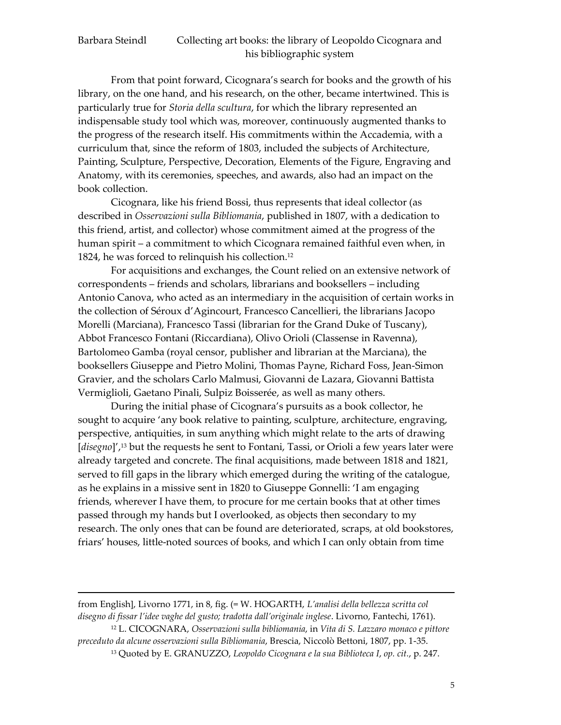<u>.</u>

## Barbara Steindl Collecting art books: the library of Leopoldo Cicognara and his bibliographic system

From that point forward, Cicognara's search for books and the growth of his library, on the one hand, and his research, on the other, became intertwined. This is particularly true for *Storia della scultura*, for which the library represented an indispensable study tool which was, moreover, continuously augmented thanks to the progress of the research itself. His commitments within the Accademia, with a curriculum that, since the reform of 1803, included the subjects of Architecture, Painting, Sculpture, Perspective, Decoration, Elements of the Figure, Engraving and Anatomy, with its ceremonies, speeches, and awards, also had an impact on the book collection.

Cicognara, like his friend Bossi, thus represents that ideal collector (as described in *Osservazioni sulla Bibliomania*, published in 1807, with a dedication to this friend, artist, and collector) whose commitment aimed at the progress of the human spirit – a commitment to which Cicognara remained faithful even when, in 1824, he was forced to relinquish his collection.<sup>12</sup>

For acquisitions and exchanges, the Count relied on an extensive network of correspondents – friends and scholars, librarians and booksellers – including Antonio Canova, who acted as an intermediary in the acquisition of certain works in the collection of Séroux d'Agincourt, Francesco Cancellieri, the librarians Jacopo Morelli (Marciana), Francesco Tassi (librarian for the Grand Duke of Tuscany), Abbot Francesco Fontani (Riccardiana), Olivo Orioli (Classense in Ravenna), Bartolomeo Gamba (royal censor, publisher and librarian at the Marciana), the booksellers Giuseppe and Pietro Molini, Thomas Payne, Richard Foss, Jean-Simon Gravier, and the scholars Carlo Malmusi, Giovanni de Lazara, Giovanni Battista Vermiglioli, Gaetano Pinali, Sulpiz Boisserée, as well as many others.

During the initial phase of Cicognara's pursuits as a book collector, he sought to acquire 'any book relative to painting, sculpture, architecture, engraving, perspective, antiquities, in sum anything which might relate to the arts of drawing [*disegno*]',<sup>13</sup> but the requests he sent to Fontani, Tassi, or Orioli a few years later were already targeted and concrete. The final acquisitions, made between 1818 and 1821, served to fill gaps in the library which emerged during the writing of the catalogue, as he explains in a missive sent in 1820 to Giuseppe Gonnelli: 'I am engaging friends, wherever I have them, to procure for me certain books that at other times passed through my hands but I overlooked, as objects then secondary to my research. The only ones that can be found are deteriorated, scraps, at old bookstores, friars' houses, little-noted sources of books, and which I can only obtain from time

from English], Livorno 1771, in 8, fig. (= W. HOGARTH, *L'analisi della bellezza scritta col disegno di fissar l'idee vaghe del gusto; tradotta dall'originale inglese*. Livorno, Fantechi, 1761).

<sup>12</sup> L. CICOGNARA, *Osservazioni sulla bibliomania*, in *Vita di S. Lazzaro monaco e pittore preceduto da alcune osservazioni sulla Bibliomania*, Brescia, Niccolò Bettoni, 1807, pp. 1-35.

<sup>13</sup> Quoted by E. GRANUZZO, *Leopoldo Cicognara e la sua Biblioteca I*, *op. cit.*, p. 247.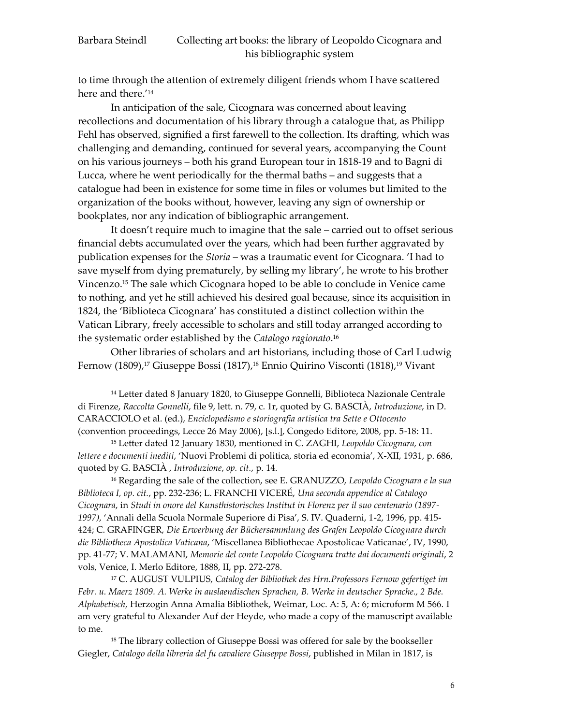to time through the attention of extremely diligent friends whom I have scattered here and there.' 14

In anticipation of the sale, Cicognara was concerned about leaving recollections and documentation of his library through a catalogue that, as Philipp Fehl has observed, signified a first farewell to the collection. Its drafting, which was challenging and demanding, continued for several years, accompanying the Count on his various journeys – both his grand European tour in 1818-19 and to Bagni di Lucca, where he went periodically for the thermal baths – and suggests that a catalogue had been in existence for some time in files or volumes but limited to the organization of the books without, however, leaving any sign of ownership or bookplates, nor any indication of bibliographic arrangement.

It doesn't require much to imagine that the sale – carried out to offset serious financial debts accumulated over the years, which had been further aggravated by publication expenses for the *Storia* – was a traumatic event for Cicognara. 'I had to save myself from dying prematurely, by selling my library', he wrote to his brother Vincenzo.<sup>15</sup> The sale which Cicognara hoped to be able to conclude in Venice came to nothing, and yet he still achieved his desired goal because, since its acquisition in 1824, the 'Biblioteca Cicognara' has constituted a distinct collection within the Vatican Library, freely accessible to scholars and still today arranged according to the systematic order established by the *Catalogo ragionato*. 16

Other libraries of scholars and art historians, including those of Carl Ludwig Fernow (1809), <sup>17</sup> Giuseppe Bossi (1817), <sup>18</sup> Ennio Quirino Visconti (1818), <sup>19</sup> Vivant

<sup>14</sup> Letter dated 8 January 1820, to Giuseppe Gonnelli, Biblioteca Nazionale Centrale di Firenze, *Raccolta Gonnelli*, file 9, lett. n. 79, c. 1r, quoted by G. BASCIÀ, *Introduzione*, in D. CARACCIOLO et al. (ed.), *Enciclopedismo e storiografia artistica tra Sette e Ottocento* (convention proceedings, Lecce 26 May 2006), [s.l.], Congedo Editore, 2008, pp. 5-18: 11.

<sup>15</sup> Letter dated 12 January 1830, mentioned in C. ZAGHI, *Leopoldo Cicognara, con lettere e documenti inediti*, 'Nuovi Problemi di politica, storia ed economia', X-XII, 1931, p. 686, quoted by G. BASCIÀ , *Introduzione*, *op. cit.*, p. 14.

<sup>16</sup> Regarding the sale of the collection, see E. GRANUZZO, *Leopoldo Cicognara e la sua Biblioteca I, op. cit.*, pp. 232-236; L. FRANCHI VICERÉ, *Una seconda appendice al Catalogo Cicognara*, in *Studi in onore del Kunsthistorisches Institut in Florenz per il suo centenario (1897- 1997)*, 'Annali della Scuola Normale Superiore di Pisa', S. IV. Quaderni, 1-2, 1996, pp. 415- 424; C. GRAFINGER, *Die Erwerbung der Büchersammlung des Grafen Leopoldo Cicognara durch die Bibliotheca Apostolica Vaticana*, 'Miscellanea Bibliothecae Apostolicae Vaticanae', IV, 1990, pp. 41-77; V. MALAMANI, *Memorie del conte Leopoldo Cicognara tratte dai documenti originali*, 2 vols, Venice, I. Merlo Editore, 1888, II, pp. 272-278.

<sup>17</sup> C. AUGUST VULPIUS, *Catalog der Bibliothek des Hrn.Professors Fernow gefertiget im Febr. u. Maerz 1809. A. Werke in auslaendischen Sprachen, B. Werke in deutscher Sprache., 2 Bde. Alphabetisch,* Herzogin Anna Amalia Bibliothek, Weimar, Loc. A: 5, A: 6; microform M 566. I am very grateful to Alexander Auf der Heyde, who made a copy of the manuscript available to me.

<sup>18</sup> The library collection of Giuseppe Bossi was offered for sale by the bookseller Giegler, *Catalogo della libreria del fu cavaliere Giuseppe Bossi*, published in Milan in 1817, is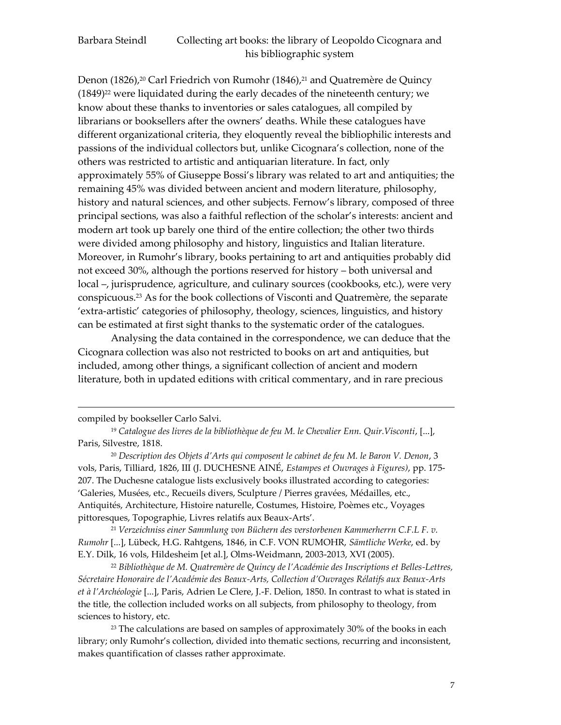Denon (1826), <sup>20</sup> Carl Friedrich von Rumohr (1846), <sup>21</sup> and Quatremère de Quincy  $(1849)^{22}$  were liquidated during the early decades of the nineteenth century; we know about these thanks to inventories or sales catalogues, all compiled by librarians or booksellers after the owners' deaths. While these catalogues have different organizational criteria, they eloquently reveal the bibliophilic interests and passions of the individual collectors but, unlike Cicognara's collection, none of the others was restricted to artistic and antiquarian literature. In fact, only approximately 55% of Giuseppe Bossi's library was related to art and antiquities; the remaining 45% was divided between ancient and modern literature, philosophy, history and natural sciences, and other subjects. Fernow's library, composed of three principal sections, was also a faithful reflection of the scholar's interests: ancient and modern art took up barely one third of the entire collection; the other two thirds were divided among philosophy and history, linguistics and Italian literature. Moreover, in Rumohr's library, books pertaining to art and antiquities probably did not exceed 30%, although the portions reserved for history – both universal and local –, jurisprudence, agriculture, and culinary sources (cookbooks, etc.), were very conspicuous. <sup>23</sup> As for the book collections of Visconti and Quatremère, the separate 'extra-artistic' categories of philosophy, theology, sciences, linguistics, and history can be estimated at first sight thanks to the systematic order of the catalogues.

Analysing the data contained in the correspondence, we can deduce that the Cicognara collection was also not restricted to books on art and antiquities, but included, among other things, a significant collection of ancient and modern literature, both in updated editions with critical commentary, and in rare precious

<u>.</u>

<sup>21</sup> *Verzeichniss einer Sammlung von Büchern des verstorbenen Kammerherrn C.F.L F. v. Rumohr* [...], Lübeck, H.G. Rahtgens, 1846, in C.F. VON RUMOHR, *Sämtliche Werke*, ed. by E.Y. Dilk, 16 vols, Hildesheim [et al.], Olms-Weidmann, 2003-2013, XVI (2005).

<sup>22</sup> *Bibliothèque de M. Quatremère de Quincy de l'Académie des Inscriptions et Belles-Lettres, Sécretaire Honoraire de l'Académie des Beaux-Arts, Collection d'Ouvrages Rélatifs aux Beaux-Arts et à l'Archéologie* [...], Paris, Adrien Le Clere, J.-F. Delion, 1850. In contrast to what is stated in the title, the collection included works on all subjects, from philosophy to theology, from sciences to history, etc.

<sup>23</sup> The calculations are based on samples of approximately 30% of the books in each library; only Rumohr's collection, divided into thematic sections, recurring and inconsistent, makes quantification of classes rather approximate.

compiled by bookseller Carlo Salvi.

<sup>19</sup> *Catalogue des livres de la bibliothèque de feu M. le Chevalier Enn. Quir.Visconti*, [...], Paris, Silvestre, 1818.

<sup>20</sup> *Description des Objets d'Arts qui composent le cabinet de feu M. le Baron V. Denon*, 3 vols, Paris, Tilliard, 1826, III (J. DUCHESNE AINÉ, *Estampes et Ouvrages à Figures)*, pp. 175- 207. The Duchesne catalogue lists exclusively books illustrated according to categories: 'Galeries, Musées, etc., Recueils divers, Sculpture / Pierres gravées, Médailles, etc., Antiquités, Architecture, Histoire naturelle, Costumes, Histoire, Poèmes etc., Voyages pittoresques, Topographie, Livres relatifs aux Beaux-Arts'.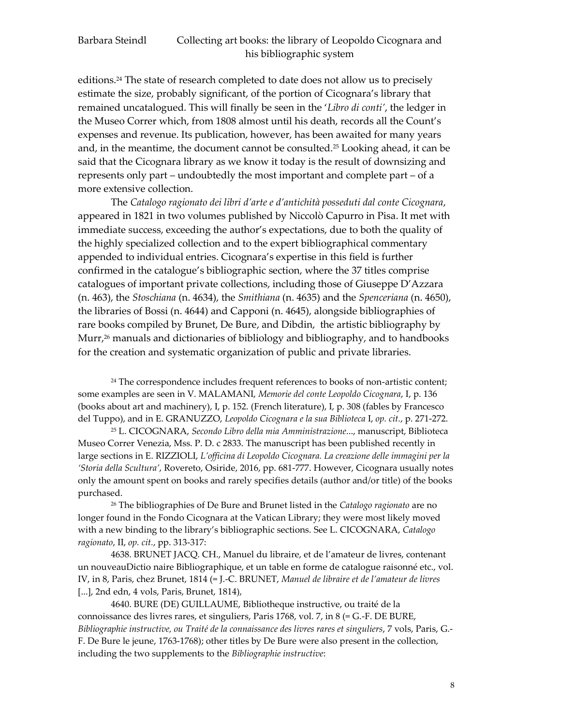editions.<sup>24</sup> The state of research completed to date does not allow us to precisely estimate the size, probably significant, of the portion of Cicognara's library that remained uncatalogued. This will finally be seen in the '*Libro di conti'*, the ledger in the Museo Correr which, from 1808 almost until his death, records all the Count's expenses and revenue. Its publication, however, has been awaited for many years and, in the meantime, the document cannot be consulted.<sup>25</sup> Looking ahead, it can be said that the Cicognara library as we know it today is the result of downsizing and represents only part – undoubtedly the most important and complete part – of a more extensive collection.

The *Catalogo ragionato dei libri d'arte e d'antichità posseduti dal conte Cicognara*, appeared in 1821 in two volumes published by Niccolò Capurro in Pisa. It met with immediate success, exceeding the author's expectations, due to both the quality of the highly specialized collection and to the expert bibliographical commentary appended to individual entries. Cicognara's expertise in this field is further confirmed in the catalogue's bibliographic section, where the 37 titles comprise catalogues of important private collections, including those of Giuseppe D'Azzara (n. 463), the *Stoschiana* (n. 4634), the *Smithiana* (n. 4635) and the *Spenceriana* (n. 4650), the libraries of Bossi (n. 4644) and Capponi (n. 4645), alongside bibliographies of rare books compiled by Brunet, De Bure, and Dibdin, the artistic bibliography by Murr,<sup>26</sup> manuals and dictionaries of bibliology and bibliography, and to handbooks for the creation and systematic organization of public and private libraries.

<sup>24</sup> The correspondence includes frequent references to books of non-artistic content; some examples are seen in V. MALAMANI, *Memorie del conte Leopoldo Cicognara*, I, p. 136 (books about art and machinery), I, p. 152. (French literature), I, p. 308 (fables by Francesco del Tuppo), and in E. GRANUZZO, *Leopoldo Cicognara e la sua Biblioteca* I, *op. cit.*, p. 271-272.

<sup>25</sup> L. CICOGNARA, *Secondo Libro della mia Amministrazione*..., manuscript, Biblioteca Museo Correr Venezia, Mss. P. D. c 2833. The manuscript has been published recently in large sections in E. RIZZIOLI, *L'officina di Leopoldo Cicognara. La creazione delle immagini per la 'Storia della Scultura'*, Rovereto, Osiride, 2016, pp. 681-777. However, Cicognara usually notes only the amount spent on books and rarely specifies details (author and/or title) of the books purchased.

<sup>26</sup> The bibliographies of De Bure and Brunet listed in the *Catalogo ragionato* are no longer found in the Fondo Cicognara at the Vatican Library; they were most likely moved with a new binding to the library's bibliographic sections. See L. CICOGNARA, *Catalogo ragionato*, II, *op. cit.*, pp. 313-317:

4638. BRUNET JACQ. CH., Manuel du libraire, et de l'amateur de livres, contenant un nouveauDictio naire Bibliographique, et un table en forme de catalogue raisonné etc., vol. IV, in 8, Paris, chez Brunet, 1814 (= J.-C. BRUNET, *Manuel de libraire et de l'amateur de livres* [...], 2nd edn, 4 vols, Paris, Brunet, 1814),

4640. BURE (DE) GUILLAUME, Bibliotheque instructive, ou traité de la connoissance des livres rares, et singuliers, Paris 1768, vol. 7, in 8 (= G.-F. DE BURE, *Bibliographie instructive, ou Traité de la connaissance des livres rares et singuliers*, 7 vols, Paris, G.- F. De Bure le jeune, 1763-1768); other titles by De Bure were also present in the collection, including the two supplements to the *Bibliographie instructive*: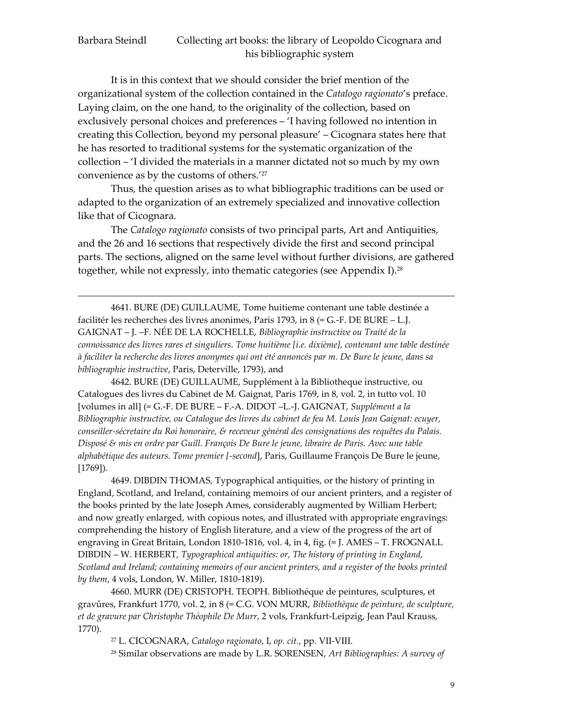It is in this context that we should consider the brief mention of the organizational system of the collection contained in the *Catalogo ragionato*'s preface. Laying claim, on the one hand, to the originality of the collection, based on exclusively personal choices and preferences – 'I having followed no intention in creating this Collection, beyond my personal pleasure' – Cicognara states here that he has resorted to traditional systems for the systematic organization of the collection – 'I divided the materials in a manner dictated not so much by my own convenience as by the customs of others.' 27

Thus, the question arises as to what bibliographic traditions can be used or adapted to the organization of an extremely specialized and innovative collection like that of Cicognara.

The *Catalogo ragionato* consists of two principal parts, Art and Antiquities, and the 26 and 16 sections that respectively divide the first and second principal parts. The sections, aligned on the same level without further divisions, are gathered together, while not expressly, into thematic categories (see Appendix I).<sup>28</sup>

4641. BURE (DE) GUILLAUME, Tome huitieme contenant une table destinée a facilitér les recherches des livres anonimes, Paris 1793, in 8 (= G.-F. DE BURE – L.J. GAIGNAT – J. –F. NÉE DE LA ROCHELLE, *Bibliographie instructive ou Traité de la connoissance des livres rares et singuliers. Tome huitième [i.e. dixième], contenant une table destinée à faciliter la recherche des livres anonymes qui ont été annoncés par m. De Bure le jeune, dans sa bibliographie instructive*, Paris, Deterville, 1793), and

<u>.</u>

4642. BURE (DE) GUILLAUME, Supplément à la Bibliotheque instructive, ou Catalogues des livres du Cabinet de M. Gaignat, Paris 1769, in 8, vol. 2, in tutto vol. 10 [volumes in all] (= G.-F. DE BURE – F.-A. DIDOT –L.-J. GAIGNAT, *Supplément a la Bibliographie instructive, ou Catalogue des livres du cabinet de feu M. Louis Jean Gaignat: ecuyer, conseiller-sécretaire du Roi honoraire, & receveur général des consignations des requêtes du Palais. Disposé & mis en ordre par Guill. François De Bure le jeune, libraire de Paris. Avec une table alphabétique des auteurs. Tome premier [-second*], Paris, Guillaume François De Bure le jeune, [1769]).

4649. DIBDIN THOMAS, Typographical antiquities, or the history of printing in England, Scotland, and Ireland, containing memoirs of our ancient printers, and a register of the books printed by the late Joseph Ames, considerably augmented by William Herbert; and now greatly enlarged, with copious notes, and illustrated with appropriate engravings: comprehending the history of English literature, and a view of the progress of the art of engraving in Great Britain, London 1810-1816, vol. 4, in 4, fig. (= J. AMES – T. FROGNALL DIBDIN – W. HERBERT, *Typographical antiquities: or, The history of printing in England, Scotland and Ireland; containing memoirs of our ancient printers, and a register of the books printed by them*, 4 vols, London, W. Miller, 1810-1819).

4660. MURR (DE) CRISTOPH. TEOPH. Bibliothéque de peintures, sculptures, et gravûres, Frankfurt 1770, vol. 2, in 8 (= C.G. VON MURR, *Bibliothèque de peinture, de sculpture, et de gravure par Christophe Théophile De Murr*, 2 vols, Frankfurt-Leipzig, Jean Paul Krauss, 1770).

<sup>27</sup> L. CICOGNARA, *Catalogo ragionato*, I, *op. cit.*, pp. VII-VIII.

<sup>28</sup> Similar observations are made by L.R. SORENSEN, *Art Bibliographies: A survey of*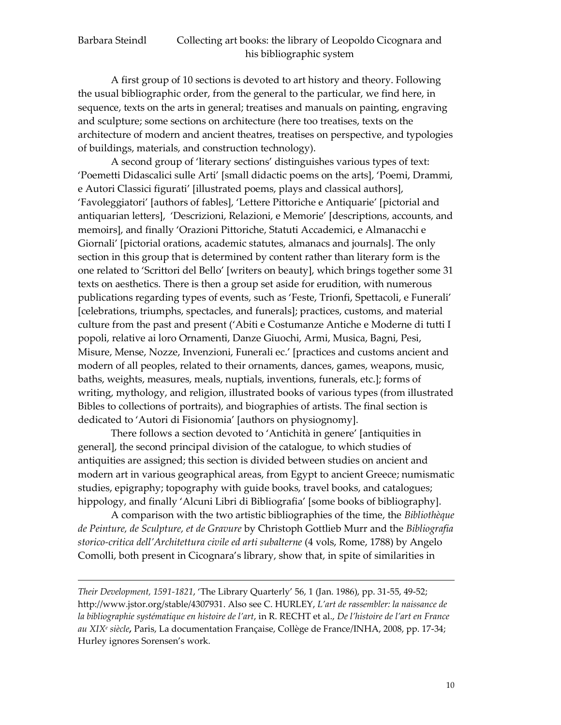<u>.</u>

## Barbara Steindl Collecting art books: the library of Leopoldo Cicognara and his bibliographic system

A first group of 10 sections is devoted to art history and theory. Following the usual bibliographic order, from the general to the particular, we find here, in sequence, texts on the arts in general; treatises and manuals on painting, engraving and sculpture; some sections on architecture (here too treatises, texts on the architecture of modern and ancient theatres, treatises on perspective, and typologies of buildings, materials, and construction technology).

A second group of 'literary sections' distinguishes various types of text: 'Poemetti Didascalici sulle Arti' [small didactic poems on the arts], 'Poemi, Drammi, e Autori Classici figurati' [illustrated poems, plays and classical authors], 'Favoleggiatori' [authors of fables], 'Lettere Pittoriche e Antiquarie' [pictorial and antiquarian letters], 'Descrizioni, Relazioni, e Memorie' [descriptions, accounts, and memoirs], and finally 'Orazioni Pittoriche, Statuti Accademici, e Almanacchi e Giornali' [pictorial orations, academic statutes, almanacs and journals]. The only section in this group that is determined by content rather than literary form is the one related to 'Scrittori del Bello' [writers on beauty], which brings together some 31 texts on aesthetics. There is then a group set aside for erudition, with numerous publications regarding types of events, such as 'Feste, Trionfi, Spettacoli, e Funerali' [celebrations, triumphs, spectacles, and funerals]; practices, customs, and material culture from the past and present ('Abiti e Costumanze Antiche e Moderne di tutti I popoli, relative ai loro Ornamenti, Danze Giuochi, Armi, Musica, Bagni, Pesi, Misure, Mense, Nozze, Invenzioni, Funerali ec.' [practices and customs ancient and modern of all peoples, related to their ornaments, dances, games, weapons, music, baths, weights, measures, meals, nuptials, inventions, funerals, etc.]; forms of writing, mythology, and religion, illustrated books of various types (from illustrated Bibles to collections of portraits), and biographies of artists. The final section is dedicated to 'Autori di Fisionomia' [authors on physiognomy].

There follows a section devoted to 'Antichità in genere' [antiquities in general], the second principal division of the catalogue, to which studies of antiquities are assigned; this section is divided between studies on ancient and modern art in various geographical areas, from Egypt to ancient Greece; numismatic studies, epigraphy; topography with guide books, travel books, and catalogues; hippology, and finally 'Alcuni Libri di Bibliografia' [some books of bibliography].

A comparison with the two artistic bibliographies of the time, the *Bibliothèque de Peinture, de Sculpture, et de Gravure* by Christoph Gottlieb Murr and the *Bibliografia storico-critica dell'Architettura civile ed arti subalterne* (4 vols, Rome, 1788) by Angelo Comolli, both present in Cicognara's library, show that, in spite of similarities in

*Their Development, 1591-1821*, 'The Library Quarterly' 56, 1 (Jan. 1986), pp. 31-55, 49-52; [http://www.jstor.org/stable/4307931.](http://www.jstor.org/stable/4307931) Also see C. HURLEY, *L'art de rassembler: la naissance de la bibliographie systématique en histoire de l'art*, in R. RECHT et al., *De l'histoire de l'art en France au XIX<sup>e</sup> siècle,* Paris, La documentation Française, Collège de France/INHA, 2008, pp. 17-34; Hurley ignores Sorensen's work.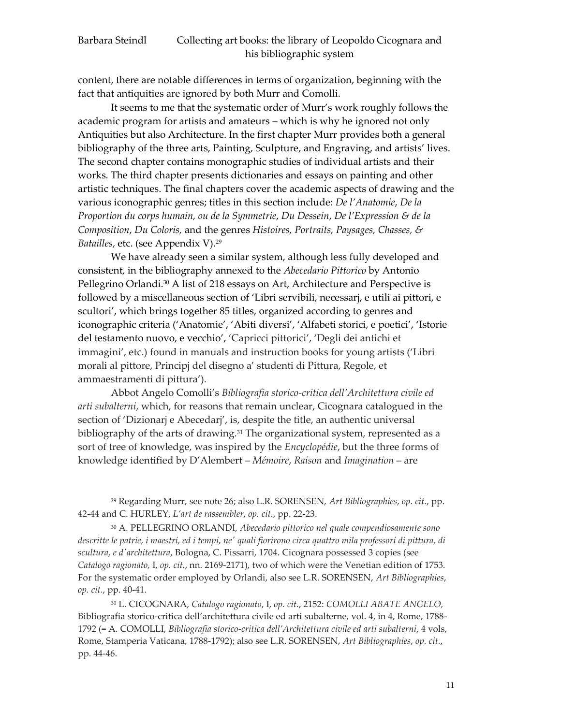content, there are notable differences in terms of organization, beginning with the fact that antiquities are ignored by both Murr and Comolli.

It seems to me that the systematic order of Murr's work roughly follows the academic program for artists and amateurs – which is why he ignored not only Antiquities but also Architecture. In the first chapter Murr provides both a general bibliography of the three arts, Painting, Sculpture, and Engraving, and artists' lives. The second chapter contains monographic studies of individual artists and their works. The third chapter presents dictionaries and essays on painting and other artistic techniques. The final chapters cover the academic aspects of drawing and the various iconographic genres; titles in this section include: *De l'Anatomie*, *De la Proportion du corps humain, ou de la Symmetrie*, *Du Dessein*, *De l'Expression & de la Composition*, *Du Coloris,* and the genres *Histoires, Portraits, Paysages, Chasses, & Batailles*, etc. (see Appendix V).<sup>29</sup>

We have already seen a similar system, although less fully developed and consistent, in the bibliography annexed to the *Abecedario Pittorico* by Antonio Pellegrino Orlandi. <sup>30</sup> A list of 218 essays on Art, Architecture and Perspective is followed by a miscellaneous section of 'Libri servibili, necessarj, e utili ai pittori, e scultori', which brings together 85 titles, organized according to genres and iconographic criteria ('Anatomie', 'Abiti diversi', 'Alfabeti storici, e poetici', 'Istorie del testamento nuovo, e vecchio', 'Capricci pittorici', 'Degli dei antichi et immagini', etc.) found in manuals and instruction books for young artists ('Libri morali al pittore, Principj del disegno a' studenti di Pittura, Regole, et ammaestramenti di pittura').

Abbot Angelo Comolli's *Bibliografia storico-critica dell'Architettura civile ed arti subalterni*, which, for reasons that remain unclear, Cicognara catalogued in the section of 'Dizionarj e Abecedarj', is, despite the title, an authentic universal bibliography of the arts of drawing.<sup>31</sup> The organizational system, represented as a sort of tree of knowledge, was inspired by the *Encyclopédie*, but the three forms of knowledge identified by D'Alembert – *Mémoire*, *Raison* and *Imagination* – are

<sup>29</sup> Regarding Murr, see note 26; also L.R. SORENSEN, *Art Bibliographies*, *op. cit.*, pp. 42-44 and C. HURLEY, *L'art de rassembler*, *op. cit.*, pp. 22-23.

<sup>30</sup> A. PELLEGRINO ORLANDI, *Abecedario pittorico nel quale compendiosamente sono descritte le patrie, i maestri, ed i tempi, ne' quali fiorirono circa quattro mila professori di pittura, di scultura, e d'architettura*, Bologna, C. Pissarri, 1704. Cicognara possessed 3 copies (see *Catalogo ragionato,* I, *op. cit.*, nn. 2169-2171), two of which were the Venetian edition of 1753. For the systematic order employed by Orlandi, also see L.R. SORENSEN, *Art Bibliographies*, *op. cit.*, pp. 40-41.

<sup>31</sup> L. CICOGNARA, *Catalogo ragionato*, I, *op. cit.*, 2152: *COMOLLI ABATE ANGELO,*  Bibliografia storico-critica dell'architettura civile ed arti subalterne, vol. 4, in 4, Rome, 1788- 1792 (= A. COMOLLI, *Bibliografia storico-critica dell'Architettura civile ed arti subalterni*, 4 vols, Rome, Stamperia Vaticana, 1788-1792); also see L.R. SORENSEN, *Art Bibliographies*, *op. cit.*, pp. 44-46.

11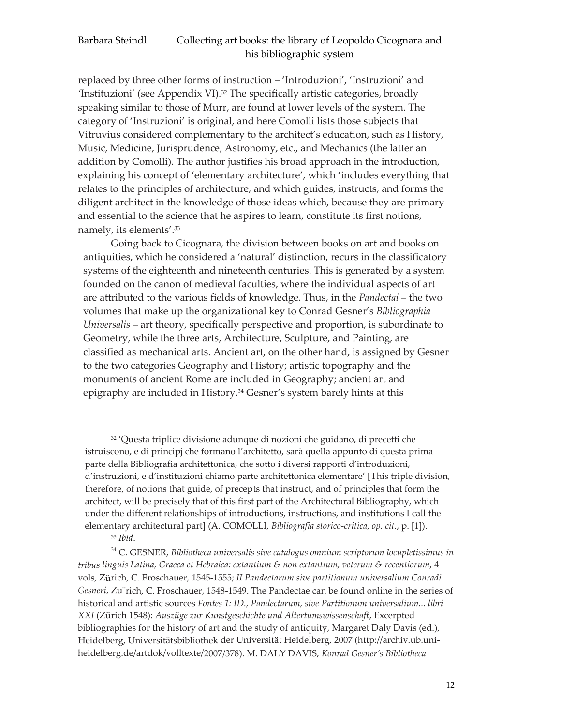replaced by three other forms of instruction – 'Introduzioni', 'Instruzioni' and *'*Instituzioni' (see Appendix VI).<sup>32</sup> The specifically artistic categories, broadly speaking similar to those of Murr, are found at lower levels of the system. The category of 'Instruzioni' is original, and here Comolli lists those subjects that Vitruvius considered complementary to the architect's education, such as History, Music, Medicine, Jurisprudence, Astronomy, etc., and Mechanics (the latter an addition by Comolli). The author justifies his broad approach in the introduction, explaining his concept of 'elementary architecture', which 'includes everything that relates to the principles of architecture, and which guides, instructs, and forms the diligent architect in the knowledge of those ideas which, because they are primary and essential to the science that he aspires to learn, constitute its first notions, namely, its elements'. 33

Going back to Cicognara, the division between books on art and books on antiquities, which he considered a 'natural' distinction, recurs in the classificatory systems of the eighteenth and nineteenth centuries. This is generated by a system founded on the canon of medieval faculties, where the individual aspects of art are attributed to the various fields of knowledge. Thus, in the *Pandectai* – the two volumes that make up the organizational key to Conrad Gesner's *Bibliographia Universalis* – art theory, specifically perspective and proportion, is subordinate to Geometry, while the three arts, Architecture, Sculpture, and Painting, are classified as mechanical arts. Ancient art, on the other hand, is assigned by Gesner to the two categories Geography and History; artistic topography and the monuments of ancient Rome are included in Geography; ancient art and epigraphy are included in History.<sup>34</sup> Gesner's system barely hints at this

<sup>32</sup> 'Questa triplice divisione adunque di nozioni che guidano, di precetti che istruiscono, e di principj che formano l'architetto, sarà quella appunto di questa prima parte della Bibliografia architettonica, che sotto i diversi rapporti d'introduzioni, d'instruzioni, e d'instituzioni chiamo parte architettonica elementare' [This triple division, therefore, of notions that guide, of precepts that instruct, and of principles that form the architect, will be precisely that of this first part of the Architectural Bibliography, which under the different relationships of introductions, instructions, and institutions I call the elementary architectural part] (A. COMOLLI, *Bibliografia storico-critica*, *op. cit.*, p. [1]). <sup>33</sup> *Ibid*.

<sup>34</sup> C. GESNER, *Bibliotheca universalis sive catalogus omnium scriptorum locupletissimus in tribus linguis Latina, Graeca et Hebraica: extantium & non extantium, veterum & recentiorum*, 4 vols, Zürich, C. Froschauer, 1545-1555; *II Pandectarum sive partitionum universalium Conradi Gesneri*, Zu¨rich, C. Froschauer, 1548-1549. The Pandectae can be found online in the series of historical and artistic sources *Fontes 1: ID., Pandectarum, sive Partitionum universalium... libri XXI* (Zürich 1548): *Auszüge zur Kunstgeschichte und Altertumswissenschaft*, Excerpted bibliographies for the history of art and the study of antiquity, Margaret Daly Davis (ed.), Heidelberg, Universitätsbibliothek der Universität Heidelberg, 2007 (http://archiv.ub.uniheidelberg.de/artdok/volltexte/2007/378). M. DALY DAVIS, *Konrad Gesner's Bibliotheca*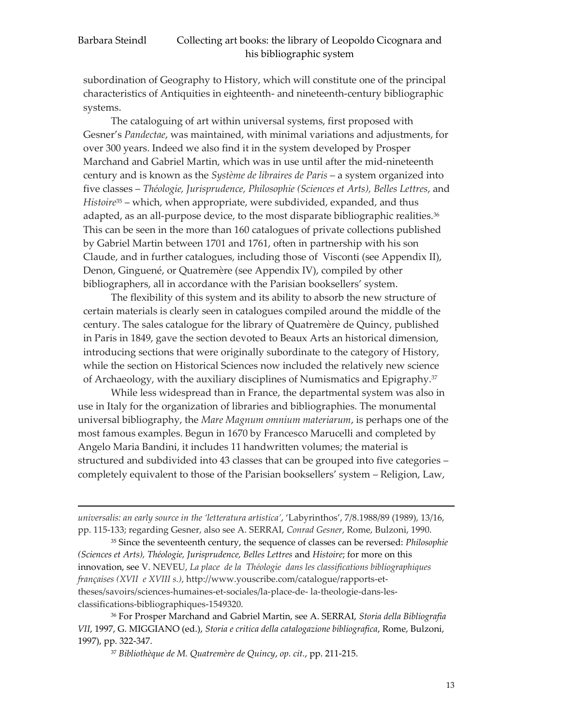<u>.</u>

#### Barbara Steindl Collecting art books: the library of Leopoldo Cicognara and his bibliographic system

subordination of Geography to History, which will constitute one of the principal characteristics of Antiquities in eighteenth- and nineteenth-century bibliographic systems.

The cataloguing of art within universal systems, first proposed with Gesner's *Pandectae*, was maintained, with minimal variations and adjustments, for over 300 years. Indeed we also find it in the system developed by Prosper Marchand and Gabriel Martin, which was in use until after the mid-nineteenth century and is known as the *Système de libraires de Paris* – a system organized into five classes – *Théologie, Jurisprudence, Philosophie (Sciences et Arts), Belles Lettres*, and *Histoire*<sup>35</sup> – which, when appropriate, were subdivided, expanded, and thus adapted, as an all-purpose device, to the most disparate bibliographic realities.<sup>36</sup> This can be seen in the more than 160 catalogues of private collections published by Gabriel Martin between 1701 and 1761, often in partnership with his son Claude, and in further catalogues, including those of Visconti (see Appendix II), Denon, Ginguené, or Quatremère (see Appendix IV), compiled by other bibliographers, all in accordance with the Parisian booksellers' system.

The flexibility of this system and its ability to absorb the new structure of certain materials is clearly seen in catalogues compiled around the middle of the century. The sales catalogue for the library of Quatremère de Quincy, published in Paris in 1849, gave the section devoted to Beaux Arts an historical dimension, introducing sections that were originally subordinate to the category of History, while the section on Historical Sciences now included the relatively new science of Archaeology, with the auxiliary disciplines of Numismatics and Epigraphy.<sup>37</sup>

While less widespread than in France, the departmental system was also in use in Italy for the organization of libraries and bibliographies. The monumental universal bibliography, the *Mare Magnum omnium materiarum*, is perhaps one of the most famous examples. Begun in 1670 by Francesco Marucelli and completed by Angelo Maria Bandini, it includes 11 handwritten volumes; the material is structured and subdivided into 43 classes that can be grouped into five categories – completely equivalent to those of the Parisian booksellers' system – Religion, Law,

*universalis: an early source in the 'letteratura artistica'*, 'Labyrinthos', 7/8.1988/89 (1989), 13/16, pp. 115-133; regarding Gesner, also see A. SERRAI, *Conrad Gesner*, Rome, Bulzoni, 1990.

<sup>35</sup> Since the seventeenth century, the sequence of classes can be reversed: *Philosophie (Sciences et Arts), Théologie, Jurisprudence, Belles Lettres* and *Histoire*; for more on this innovation, see V. NEVEU, *La place de la Théologie dans les classifications bibliographiques françaises (XVII e XVIII s.)*, http:/[/www.youscribe.com/catalogue/rapports-et](http://www.youscribe.com/catalogue/rapports-et-theses/savoirs/sciences-humaines-et-sociales/la-place-de-)[theses/savoirs/sciences-humaines-et-sociales/la-place-de-](http://www.youscribe.com/catalogue/rapports-et-theses/savoirs/sciences-humaines-et-sociales/la-place-de-) la-theologie-dans-lesclassifications-bibliographiques-1549320.

<sup>36</sup> For Prosper Marchand and Gabriel Martin, see A. SERRAI, *Storia della Bibliografia VII*, 1997, G. MIGGIANO (ed.), *Storia e critica della catalogazione bibliografica*, Rome, Bulzoni, 1997), pp. 322-347.

<sup>37</sup> *Bibliothèque de M. Quatremère de Quincy*, *op. cit.*, pp. 211-215.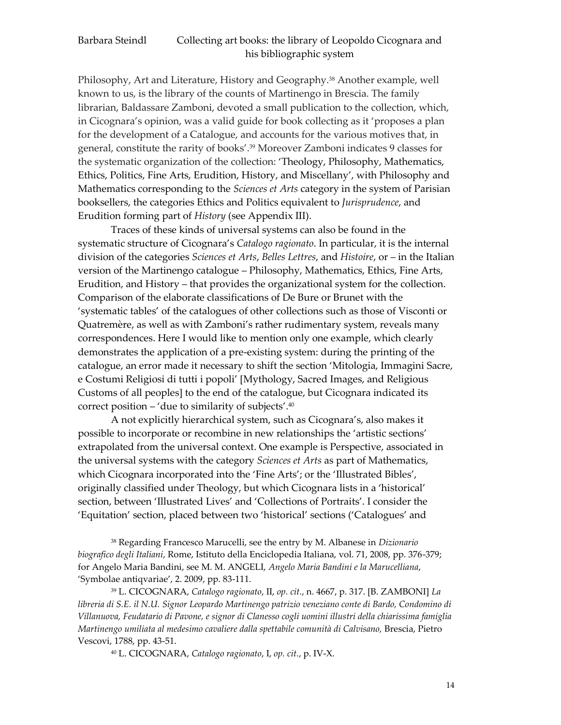Philosophy, Art and Literature, History and Geography.<sup>38</sup> Another example, well known to us, is the library of the counts of Martinengo in Brescia. The family librarian, Baldassare Zamboni, devoted a small publication to the collection, which, in Cicognara's opinion, was a valid guide for book collecting as it 'proposes a plan for the development of a Catalogue, and accounts for the various motives that, in general, constitute the rarity of books'. <sup>39</sup> Moreover Zamboni indicates 9 classes for the systematic organization of the collection: 'Theology, Philosophy, Mathematics, Ethics, Politics, Fine Arts, Erudition, History, and Miscellany', with Philosophy and Mathematics corresponding to the *Sciences et Arts* category in the system of Parisian booksellers, the categories Ethics and Politics equivalent to *Jurisprudence*, and Erudition forming part of *History* (see Appendix III).

Traces of these kinds of universal systems can also be found in the systematic structure of Cicognara's *Catalogo ragionato*. In particular, it is the internal division of the categories *Sciences et Arts*, *Belles Lettres*, and *Histoire*, or – in the Italian version of the Martinengo catalogue – Philosophy, Mathematics, Ethics, Fine Arts, Erudition, and History – that provides the organizational system for the collection. Comparison of the elaborate classifications of De Bure or Brunet with the 'systematic tables' of the catalogues of other collections such as those of Visconti or Quatremère, as well as with Zamboni's rather rudimentary system, reveals many correspondences. Here I would like to mention only one example, which clearly demonstrates the application of a pre-existing system: during the printing of the catalogue, an error made it necessary to shift the section 'Mitologia, Immagini Sacre, e Costumi Religiosi di tutti i popoli' [Mythology, Sacred Images, and Religious Customs of all peoples] to the end of the catalogue, but Cicognara indicated its correct position – 'due to similarity of subjects'. 40

A not explicitly hierarchical system, such as Cicognara's, also makes it possible to incorporate or recombine in new relationships the 'artistic sections' extrapolated from the universal context. One example is Perspective, associated in the universal systems with the category *Sciences et Arts* as part of Mathematics, which Cicognara incorporated into the 'Fine Arts'; or the 'Illustrated Bibles', originally classified under Theology, but which Cicognara lists in a 'historical' section, between 'Illustrated Lives' and 'Collections of Portraits'. I consider the 'Equitation' section, placed between two 'historical' sections ('Catalogues' and

<sup>38</sup> Regarding Francesco Marucelli, see the entry by M. Albanese in *Dizionario biografico degli Italiani*, Rome, Istituto della Enciclopedia Italiana, vol. 71, 2008, pp. 376-379; for Angelo Maria Bandini, see M. M. ANGELI, *Angelo Maria Bandini e la Marucelliana*, 'Symbolae antiqvariae', 2. 2009, pp. 83-111.

<sup>39</sup> L. CICOGNARA, *Catalogo ragionato*, II, *op. cit.*, n. 4667, p. 317. [B. ZAMBONI] *La libreria di S.E. il N.U. Signor Leopardo Martinengo patrizio veneziano conte di Bardo, Condomino di Villanuova, Feudatario di Pavone, e signor di Clanesso cogli uomini illustri della chiarissima famiglia Martinengo umiliata al medesimo cavaliere dalla spettabile comunità di Calvisano,* Brescia, Pietro Vescovi, 1788, pp. 43-51.

<sup>40</sup> L. CICOGNARA, *Catalogo ragionato*, I, *op. cit.*, p. IV-X.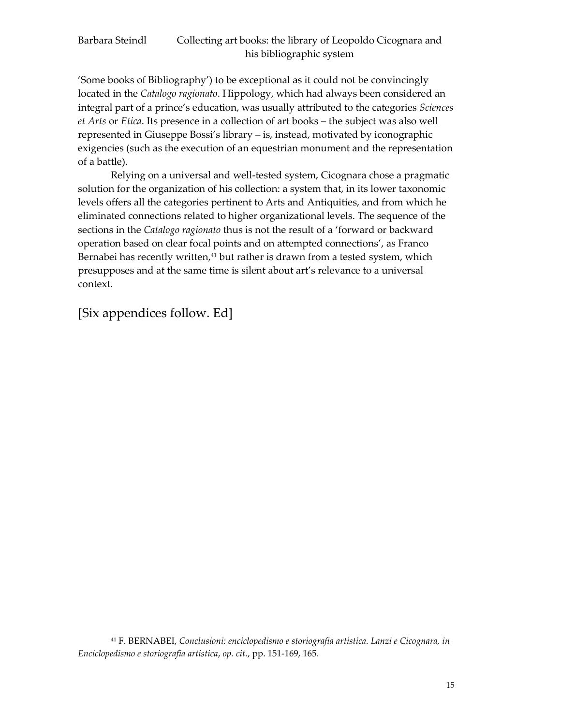'Some books of Bibliography') to be exceptional as it could not be convincingly located in the *Catalogo ragionato*. Hippology, which had always been considered an integral part of a prince's education, was usually attributed to the categories *Sciences et Arts* or *Etica*. Its presence in a collection of art books – the subject was also well represented in Giuseppe Bossi's library – is, instead, motivated by iconographic exigencies (such as the execution of an equestrian monument and the representation of a battle).

Relying on a universal and well-tested system, Cicognara chose a pragmatic solution for the organization of his collection: a system that, in its lower taxonomic levels offers all the categories pertinent to Arts and Antiquities, and from which he eliminated connections related to higher organizational levels. The sequence of the sections in the *Catalogo ragionato* thus is not the result of a 'forward or backward operation based on clear focal points and on attempted connections', as Franco Bernabei has recently written,<sup>41</sup> but rather is drawn from a tested system, which presupposes and at the same time is silent about art's relevance to a universal context.

[Six appendices follow. Ed]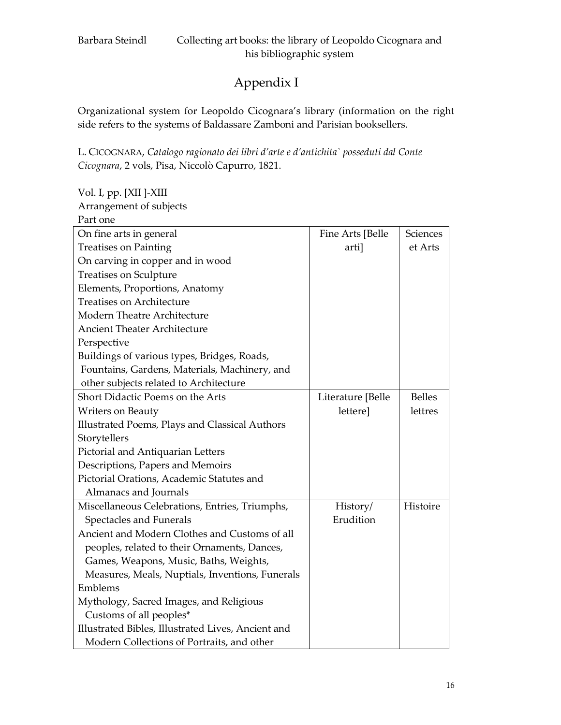# Appendix I

Organizational system for Leopoldo Cicognara's library (information on the right side refers to the systems of Baldassare Zamboni and Parisian booksellers.

L. CICOGNARA, *Catalogo ragionato dei libri d'arte e d'antichita` posseduti dal Conte Cicognara*, 2 vols, Pisa, Niccolò Capurro, 1821.

Vol. I, pp. [XII ]-XIII

Arrangement of subjects

| Part one                                           |                   |               |
|----------------------------------------------------|-------------------|---------------|
| On fine arts in general                            | Fine Arts [Belle  | Sciences      |
| <b>Treatises on Painting</b>                       | arti]             | et Arts       |
| On carving in copper and in wood                   |                   |               |
| <b>Treatises on Sculpture</b>                      |                   |               |
| Elements, Proportions, Anatomy                     |                   |               |
| <b>Treatises on Architecture</b>                   |                   |               |
| Modern Theatre Architecture                        |                   |               |
| <b>Ancient Theater Architecture</b>                |                   |               |
| Perspective                                        |                   |               |
| Buildings of various types, Bridges, Roads,        |                   |               |
| Fountains, Gardens, Materials, Machinery, and      |                   |               |
| other subjects related to Architecture             |                   |               |
| Short Didactic Poems on the Arts                   | Literature [Belle | <b>Belles</b> |
| Writers on Beauty                                  | lettere]          | lettres       |
| Illustrated Poems, Plays and Classical Authors     |                   |               |
| Storytellers                                       |                   |               |
| Pictorial and Antiquarian Letters                  |                   |               |
| Descriptions, Papers and Memoirs                   |                   |               |
| Pictorial Orations, Academic Statutes and          |                   |               |
| Almanacs and Journals                              |                   |               |
| Miscellaneous Celebrations, Entries, Triumphs,     | History/          | Histoire      |
| Spectacles and Funerals                            | Erudition         |               |
| Ancient and Modern Clothes and Customs of all      |                   |               |
| peoples, related to their Ornaments, Dances,       |                   |               |
| Games, Weapons, Music, Baths, Weights,             |                   |               |
| Measures, Meals, Nuptials, Inventions, Funerals    |                   |               |
| Emblems                                            |                   |               |
| Mythology, Sacred Images, and Religious            |                   |               |
| Customs of all peoples*                            |                   |               |
| Illustrated Bibles, Illustrated Lives, Ancient and |                   |               |
| Modern Collections of Portraits, and other         |                   |               |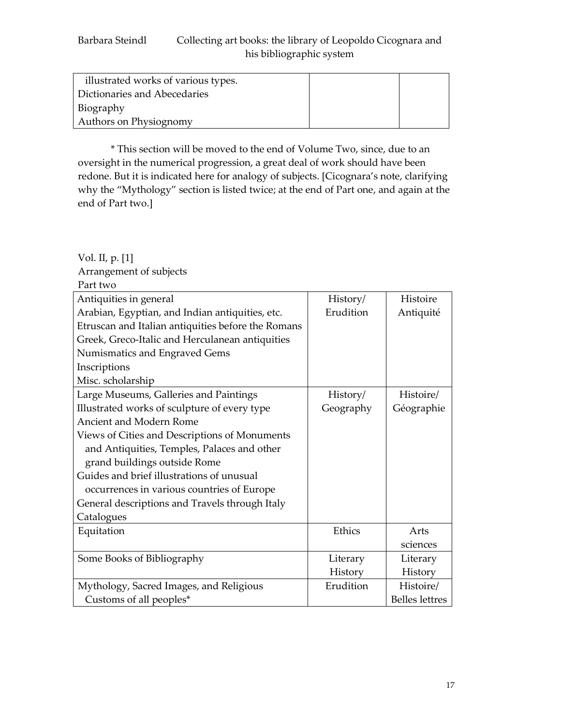| illustrated works of various types. |  |
|-------------------------------------|--|
| Dictionaries and Abecedaries        |  |
| Biography                           |  |
| Authors on Physiognomy              |  |

\* This section will be moved to the end of Volume Two, since, due to an oversight in the numerical progression, a great deal of work should have been redone. But it is indicated here for analogy of subjects. [Cicognara's note, clarifying why the "Mythology" section is listed twice; at the end of Part one, and again at the end of Part two.]

| Part two                                           |           |                       |
|----------------------------------------------------|-----------|-----------------------|
| Antiquities in general                             | History/  | Histoire              |
| Arabian, Egyptian, and Indian antiquities, etc.    | Erudition | Antiquité             |
| Etruscan and Italian antiquities before the Romans |           |                       |
| Greek, Greco-Italic and Herculanean antiquities    |           |                       |
| Numismatics and Engraved Gems                      |           |                       |
| Inscriptions                                       |           |                       |
| Misc. scholarship                                  |           |                       |
| Large Museums, Galleries and Paintings             | History/  | Histoire/             |
| Illustrated works of sculpture of every type       | Geography | Géographie            |
| <b>Ancient and Modern Rome</b>                     |           |                       |
| Views of Cities and Descriptions of Monuments      |           |                       |
| and Antiquities, Temples, Palaces and other        |           |                       |
| grand buildings outside Rome                       |           |                       |
| Guides and brief illustrations of unusual          |           |                       |
| occurrences in various countries of Europe         |           |                       |
| General descriptions and Travels through Italy     |           |                       |
| Catalogues                                         |           |                       |
| Equitation                                         | Ethics    | Arts                  |
|                                                    |           | sciences              |
| Some Books of Bibliography                         | Literary  | Literary              |
|                                                    | History   | History               |
| Mythology, Sacred Images, and Religious            | Erudition | Histoire/             |
| Customs of all peoples*                            |           | <b>Belles lettres</b> |

Vol. II, p. [1] Arrangement of subjects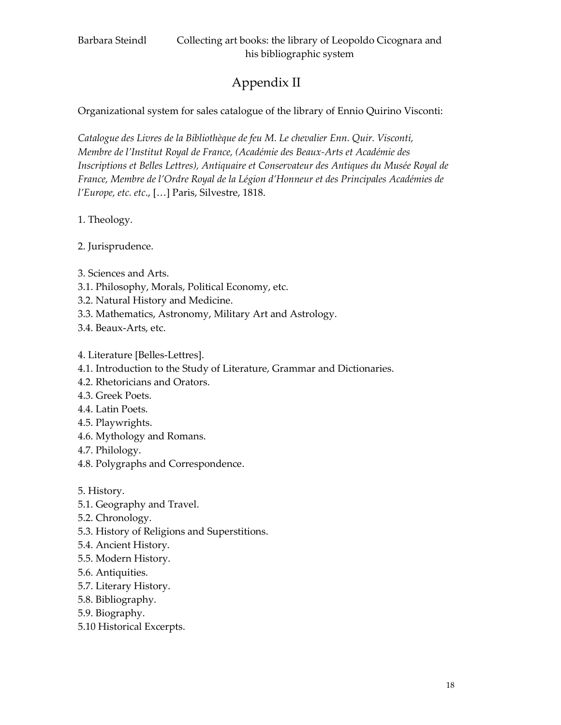# Appendix II

Organizational system for sales catalogue of the library of Ennio Quirino Visconti:

*Catalogue des Livres de la Bibliothèque de feu M. Le chevalier Enn. Quir. Visconti, Membre de l'Institut Royal de France, (Académie des Beaux-Arts et Académie des Inscriptions et Belles Lettres), Antiquaire et Conservateur des Antiques du Musée Royal de France, Membre de l'Ordre Royal de la Légion d'Honneur et des Principales Académies de l'Europe, etc. etc*., […] Paris, Silvestre, 1818.

1. Theology.

2. Jurisprudence.

- 3. Sciences and Arts.
- 3.1. Philosophy, Morals, Political Economy, etc.
- 3.2. Natural History and Medicine.
- 3.3. Mathematics, Astronomy, Military Art and Astrology.
- 3.4. Beaux-Arts, etc.
- 4. Literature [Belles-Lettres].
- 4.1. Introduction to the Study of Literature, Grammar and Dictionaries.
- 4.2. Rhetoricians and Orators.
- 4.3. Greek Poets.
- 4.4. Latin Poets.
- 4.5. Playwrights.
- 4.6. Mythology and Romans.
- 4.7. Philology.
- 4.8. Polygraphs and Correspondence.
- 5. History.
- 5.1. Geography and Travel.
- 5.2. Chronology.
- 5.3. History of Religions and Superstitions.
- 5.4. Ancient History.
- 5.5. Modern History.
- 5.6. Antiquities.
- 5.7. Literary History.
- 5.8. Bibliography.
- 5.9. Biography.
- 5.10 Historical Excerpts.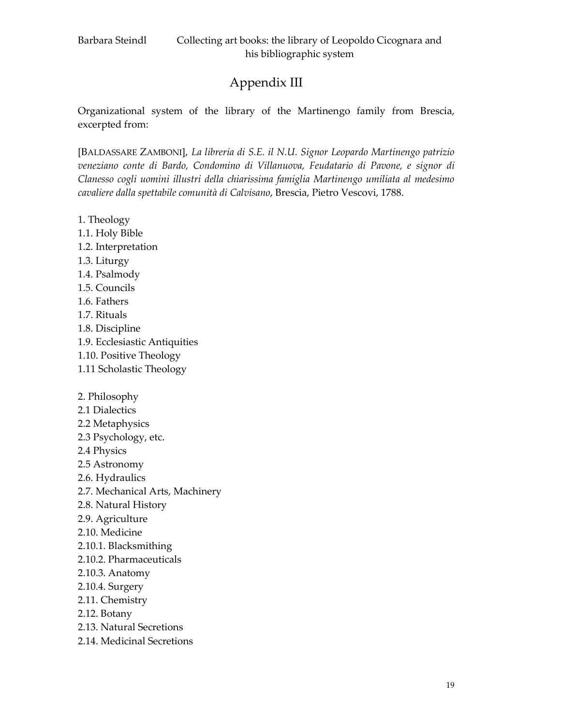# Appendix III

Organizational system of the library of the Martinengo family from Brescia, excerpted from:

[BALDASSARE ZAMBONI], *La libreria di S.E. il N.U. Signor Leopardo Martinengo patrizio veneziano conte di Bardo, Condomino di Villanuova, Feudatario di Pavone, e signor di Clanesso cogli uomini illustri della chiarissima famiglia Martinengo umiliata al medesimo cavaliere dalla spettabile comunità di Calvisano*, Brescia, Pietro Vescovi, 1788.

- 1. Theology
- 1.1. Holy Bible
- 1.2. Interpretation
- 1.3. Liturgy
- 1.4. Psalmody
- 1.5. Councils
- 1.6. Fathers
- 1.7. Rituals
- 1.8. Discipline
- 1.9. Ecclesiastic Antiquities
- 1.10. Positive Theology
- 1.11 Scholastic Theology
- 2. Philosophy
- 2.1 Dialectics
- 2.2 Metaphysics
- 2.3 Psychology, etc.
- 2.4 Physics
- 2.5 Astronomy
- 2.6. Hydraulics
- 2.7. Mechanical Arts, Machinery
- 2.8. Natural History
- 2.9. Agriculture
- 2.10. Medicine
- 2.10.1. Blacksmithing
- 2.10.2. Pharmaceuticals
- 2.10.3. Anatomy
- 2.10.4. Surgery
- 2.11. Chemistry
- 2.12. Botany
- 2.13. Natural Secretions
- 2.14. Medicinal Secretions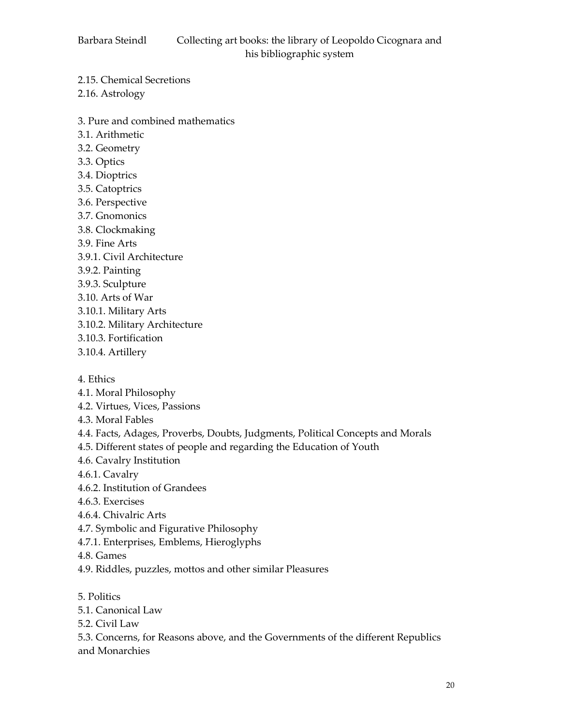2.15. Chemical Secretions

2.16. Astrology

- 3. Pure and combined mathematics
- 3.1. Arithmetic
- 3.2. Geometry
- 3.3. Optics
- 3.4. Dioptrics
- 3.5. Catoptrics
- 3.6. Perspective
- 3.7. Gnomonics
- 3.8. Clockmaking
- 3.9. Fine Arts
- 3.9.1. Civil Architecture
- 3.9.2. Painting
- 3.9.3. Sculpture
- 3.10. Arts of War
- 3.10.1. Military Arts
- 3.10.2. Military Architecture
- 3.10.3. Fortification
- 3.10.4. Artillery
- 4. Ethics
- 4.1. Moral Philosophy
- 4.2. Virtues, Vices, Passions
- 4.3. Moral Fables
- 4.4. Facts, Adages, Proverbs, Doubts, Judgments, Political Concepts and Morals
- 4.5. Different states of people and regarding the Education of Youth
- 4.6. Cavalry Institution
- 4.6.1. Cavalry
- 4.6.2. Institution of Grandees
- 4.6.3. Exercises
- 4.6.4. Chivalric Arts
- 4.7. Symbolic and Figurative Philosophy
- 4.7.1. Enterprises, Emblems, Hieroglyphs
- 4.8. Games
- 4.9. Riddles, puzzles, mottos and other similar Pleasures
- 5. Politics
- 5.1. Canonical Law
- 5.2. Civil Law
- 5.3. Concerns, for Reasons above, and the Governments of the different Republics and Monarchies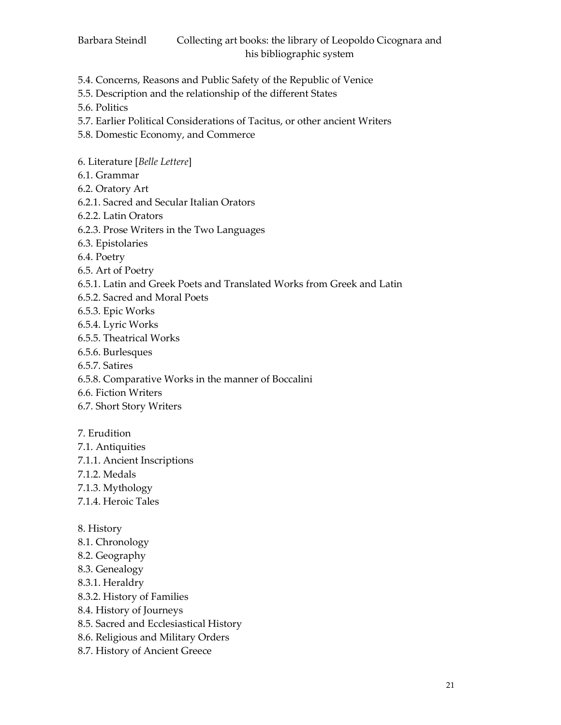- 5.4. Concerns, Reasons and Public Safety of the Republic of Venice
- 5.5. Description and the relationship of the different States
- 5.6. Politics
- 5.7. Earlier Political Considerations of Tacitus, or other ancient Writers
- 5.8. Domestic Economy, and Commerce
- 6. Literature [*Belle Lettere*]
- 6.1. Grammar
- 6.2. Oratory Art
- 6.2.1. Sacred and Secular Italian Orators
- 6.2.2. Latin Orators
- 6.2.3. Prose Writers in the Two Languages
- 6.3. Epistolaries
- 6.4. Poetry
- 6.5. Art of Poetry
- 6.5.1. Latin and Greek Poets and Translated Works from Greek and Latin
- 6.5.2. Sacred and Moral Poets
- 6.5.3. Epic Works
- 6.5.4. Lyric Works
- 6.5.5. Theatrical Works
- 6.5.6. Burlesques
- 6.5.7. Satires
- 6.5.8. Comparative Works in the manner of Boccalini
- 6.6. Fiction Writers
- 6.7. Short Story Writers
- 7. Erudition
- 7.1. Antiquities
- 7.1.1. Ancient Inscriptions
- 7.1.2. Medals
- 7.1.3. Mythology
- 7.1.4. Heroic Tales
- 8. History
- 8.1. Chronology
- 8.2. Geography
- 8.3. Genealogy
- 8.3.1. Heraldry
- 8.3.2. History of Families
- 8.4. History of Journeys
- 8.5. Sacred and Ecclesiastical History
- 8.6. Religious and Military Orders
- 8.7. History of Ancient Greece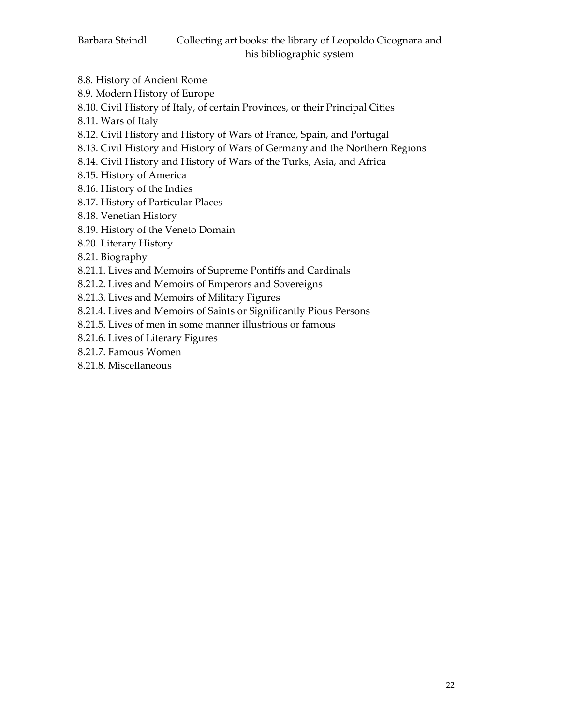- 8.8. History of Ancient Rome
- 8.9. Modern History of Europe
- 8.10. Civil History of Italy, of certain Provinces, or their Principal Cities
- 8.11. Wars of Italy
- 8.12. Civil History and History of Wars of France, Spain, and Portugal
- 8.13. Civil History and History of Wars of Germany and the Northern Regions
- 8.14. Civil History and History of Wars of the Turks, Asia, and Africa
- 8.15. History of America
- 8.16. History of the Indies
- 8.17. History of Particular Places
- 8.18. Venetian History
- 8.19. History of the Veneto Domain
- 8.20. Literary History
- 8.21. Biography
- 8.21.1. Lives and Memoirs of Supreme Pontiffs and Cardinals
- 8.21.2. Lives and Memoirs of Emperors and Sovereigns
- 8.21.3. Lives and Memoirs of Military Figures
- 8.21.4. Lives and Memoirs of Saints or Significantly Pious Persons
- 8.21.5. Lives of men in some manner illustrious or famous
- 8.21.6. Lives of Literary Figures
- 8.21.7. Famous Women
- 8.21.8. Miscellaneous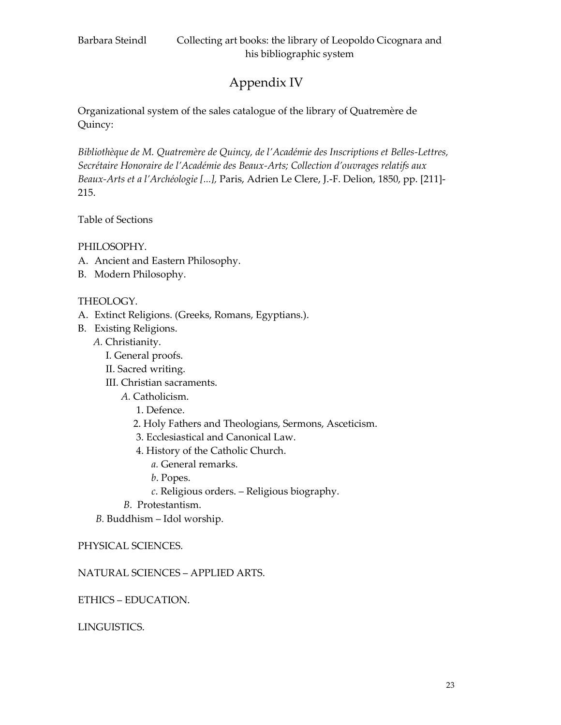# Appendix IV

Organizational system of the sales catalogue of the library of Quatremère de Quincy:

*Bibliothèque de M. Quatremère de Quincy, de l'Académie des Inscriptions et Belles-Lettres, Secrétaire Honoraire de l'Académie des Beaux-Arts; Collection d'ouvrages relatifs aux Beaux-Arts et a l'Archéologie [...],* Paris, Adrien Le Clere, J.-F. Delion, 1850, pp. [211]- 215.

Table of Sections

PHILOSOPHY.

- A. Ancient and Eastern Philosophy.
- B. Modern Philosophy.

### THEOLOGY.

- A. Extinct Religions. (Greeks, Romans, Egyptians.).
- B. Existing Religions.
	- *A.* Christianity.
		- I. General proofs.
		- II. Sacred writing.
		- III. Christian sacraments.
			- *A.* Catholicism.
				- 1. Defence.
				- 2. Holy Fathers and Theologians, Sermons, Asceticism.
				- 3. Ecclesiastical and Canonical Law.
				- 4. History of the Catholic Church.
					- *a.* General remarks.
					- *b*. Popes.
					- *c*. Religious orders. Religious biography.
			- *B*. Protestantism.
	- *B.* Buddhism Idol worship.

#### PHYSICAL SCIENCES.

#### NATURAL SCIENCES – APPLIED ARTS.

ETHICS – EDUCATION.

LINGUISTICS.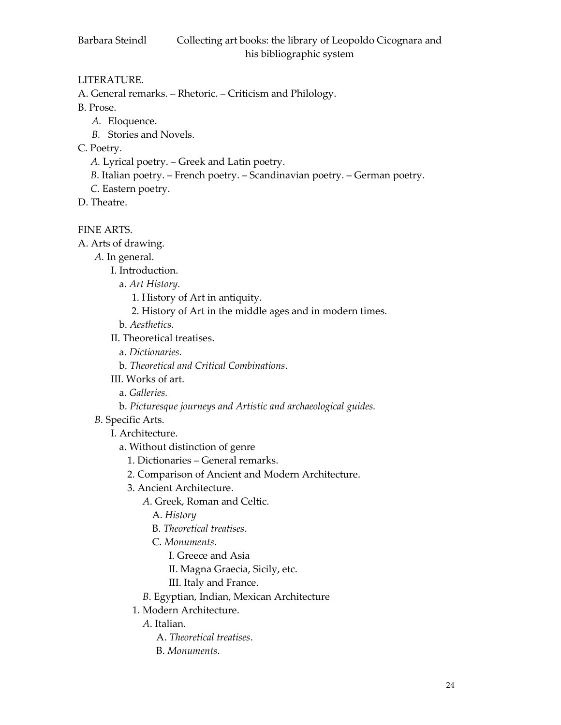## LITERATURE.

- A. General remarks. Rhetoric. Criticism and Philology.
- B. Prose.
	- *A.* Eloquence.
	- *B.* Stories and Novels.
- C. Poetry.
	- *A.* Lyrical poetry. Greek and Latin poetry.
	- *B*. Italian poetry. French poetry. Scandinavian poetry. German poetry.
	- *C*. Eastern poetry.
- D. Theatre.

FINE ARTS.

A. Arts of drawing.

- *A.* In general.
	- I. Introduction.
	- a. *Art History.*
		- 1. History of Art in antiquity.
		- 2. History of Art in the middle ages and in modern times.
	- b. *Aesthetics.*
	- II. Theoretical treatises.
		- a. *Dictionaries.*
		- b. *Theoretical and Critical Combinations*.
	- III. Works of art.
		- a. *Galleries.*
		- b. *Picturesque journeys and Artistic and archaeological guides.*
- *B*. Specific Arts.
	- I. Architecture.
		- a. Without distinction of genre
			- 1. Dictionaries General remarks.
			- 2. Comparison of Ancient and Modern Architecture.
			- 3. Ancient Architecture.
				- *A*. Greek, Roman and Celtic.
					- A. *History*
					- B. *Theoretical treatises*.
					- C. *Monuments*.
						- I. Greece and Asia
						- II. Magna Graecia, Sicily, etc.
						- III. Italy and France.
				- *B*. Egyptian, Indian, Mexican Architecture
			- 1. Modern Architecture.
				- *A*. Italian.
					- A. *Theoretical treatises*.
					- B. *Monuments*.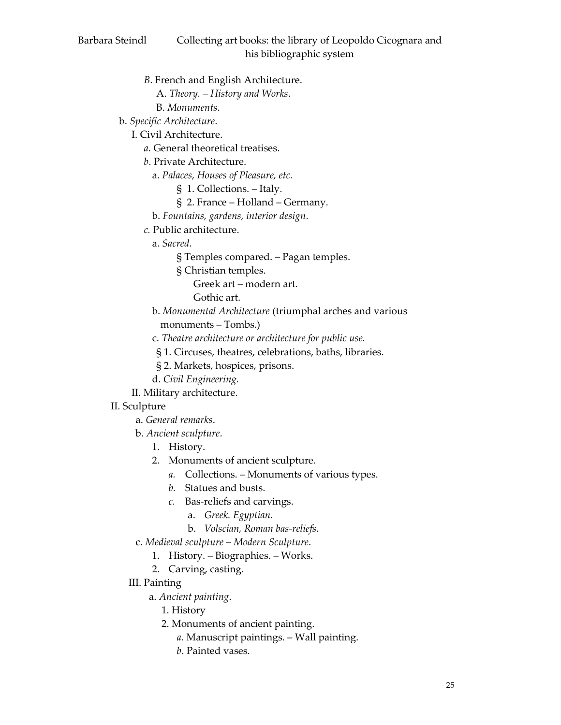- *B*. French and English Architecture.
	- A. *Theory. – History and Works*.
	- B. *Monuments.*
- b. *Specific Architecture*.
	- I. Civil Architecture.
		- *a*. General theoretical treatises.
		- *b*. Private Architecture.
		- a. *Palaces, Houses of Pleasure, etc.*
			- § 1. Collections. Italy.
			- § 2. France Holland Germany.
		- b. *Fountains, gardens, interior design*.
		- *c.* Public architecture.
			- a. *Sacred*.
				- § Temples compared. Pagan temples.
				- § Christian temples.
					- Greek art modern art.
					- Gothic art.
			- b. *Monumental Architecture* (triumphal arches and various monuments – Tombs.)
			- c. *Theatre architecture or architecture for public use.*
			- § 1. Circuses, theatres, celebrations, baths, libraries.
			- § 2. Markets, hospices, prisons.
			- d. *Civil Engineering.*
	- II. Military architecture.

# II. Sculpture

- a. *General remarks*.
- b. *Ancient sculpture*.
	- 1. History.
	- 2. Monuments of ancient sculpture.
		- *a.* Collections. Monuments of various types.
		- *b.* Statues and busts.
		- *c.* Bas-reliefs and carvings.
			- a. *Greek. Egyptian.*
			- b. *Volscian, Roman bas-reliefs*.
- c. *Medieval sculpture Modern Sculpture*.
	- 1. History. Biographies. Works.
	- 2. Carving, casting.
- III. Painting
	- a. *Ancient painting*.
		- 1. History
		- 2. Monuments of ancient painting.
			- *a.* Manuscript paintings. Wall painting.
			- *b*. Painted vases.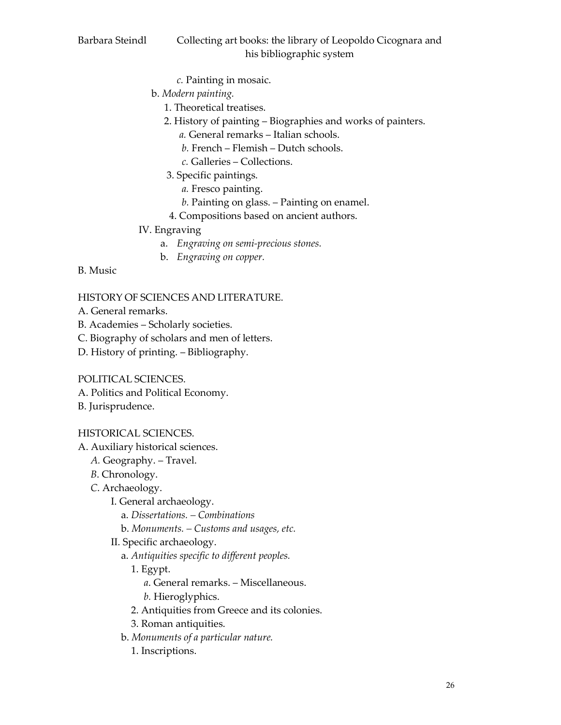- *c.* Painting in mosaic.
- b. *Modern painting.*
	- 1. Theoretical treatises.
	- 2. History of painting Biographies and works of painters.
		- *a.* General remarks Italian schools.
		- *b.* French Flemish Dutch schools.
		- *c.* Galleries Collections.
	- 3. Specific paintings.
		- *a.* Fresco painting.
		- *b.* Painting on glass. Painting on enamel.
	- 4. Compositions based on ancient authors.
- IV. Engraving
	- a. *Engraving on semi-precious stones.*
	- b. *Engraving on copper.*

### B. Music

# HISTORY OF SCIENCES AND LITERATURE.

- A. General remarks.
- B. Academies Scholarly societies.
- C. Biography of scholars and men of letters.
- D. History of printing. Bibliography.

# POLITICAL SCIENCES.

- A. Politics and Political Economy.
- B. Jurisprudence.

# HISTORICAL SCIENCES.

- A. Auxiliary historical sciences.
	- *A.* Geography. Travel.
	- *B*. Chronology.
	- *C*. Archaeology.
		- I. General archaeology.
			- a. *Dissertations. – Combinations*
			- b. *Monuments. – Customs and usages, etc.*
		- II. Specific archaeology.
			- a. *Antiquities specific to different peoples.* 
				- 1. Egypt.
					- *a*. General remarks. Miscellaneous.
					- *b.* Hieroglyphics.
				- 2. Antiquities from Greece and its colonies.
				- 3. Roman antiquities.
			- b. *Monuments of a particular nature.*
				- 1. Inscriptions.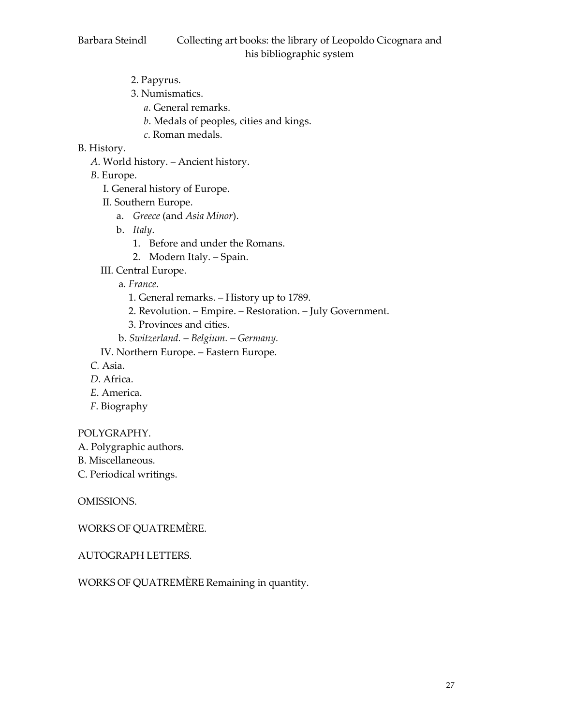- 2. Papyrus.
- 3. Numismatics.
	- *a*. General remarks.
	- *b*. Medals of peoples, cities and kings.
	- *c*. Roman medals.
- B. History.
	- *A*. World history. Ancient history.
	- *B*. Europe.
		- I. General history of Europe.
		- II. Southern Europe.
			- a. *Greece* (and *Asia Minor*).
			- b. *Italy*.
				- 1. Before and under the Romans.
				- 2. Modern Italy. Spain.
		- III. Central Europe.
			- a. *France*.
				- 1. General remarks. History up to 1789.
				- 2. Revolution. Empire. Restoration. July Government.
				- 3. Provinces and cities.
			- b. *Switzerland. – Belgium. – Germany.*
		- IV. Northern Europe. Eastern Europe.
	- *C.* Asia.
	- *D*. Africa.
	- *E*. America.
	- *F*. Biography

#### POLYGRAPHY.

- A. Polygraphic authors.
- B. Miscellaneous.
- C. Periodical writings.

OMISSIONS.

WORKS OF QUATREMÈRE.

#### AUTOGRAPH LETTERS.

WORKS OF QUATREMÈRE Remaining in quantity.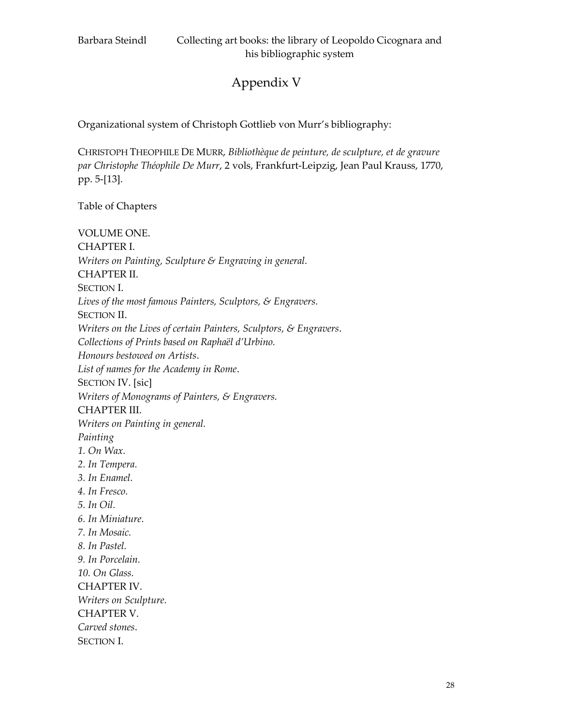# Appendix V

Organizational system of Christoph Gottlieb von Murr's bibliography:

CHRISTOPH THEOPHILE DE MURR, *Bibliothèque de peinture, de sculpture, et de gravure par Christophe Théophile De Murr*, 2 vols, Frankfurt-Leipzig, Jean Paul Krauss, 1770, pp. 5-[13].

Table of Chapters

VOLUME ONE. CHAPTER I. *Writers on Painting, Sculpture & Engraving in general.*  CHAPTER II. SECTION I. *Lives of the most famous Painters, Sculptors, & Engravers.*  SECTION II. *Writers on the Lives of certain Painters, Sculptors, & Engravers*. *Collections of Prints based on Raphaël d'Urbino. Honours bestowed on Artists*. *List of names for the Academy in Rome*. SECTION IV. [sic] *Writers of Monograms of Painters, & Engravers.* CHAPTER III. *Writers on Painting in general. Painting 1. On Wax. 2. In Tempera. 3. In Enamel. 4. In Fresco. 5. In Oil. 6. In Miniature. 7. In Mosaic. 8. In Pastel. 9. In Porcelain. 10. On Glass.*  CHAPTER IV. *Writers on Sculpture.*  CHAPTER V. *Carved stones*. SECTION I.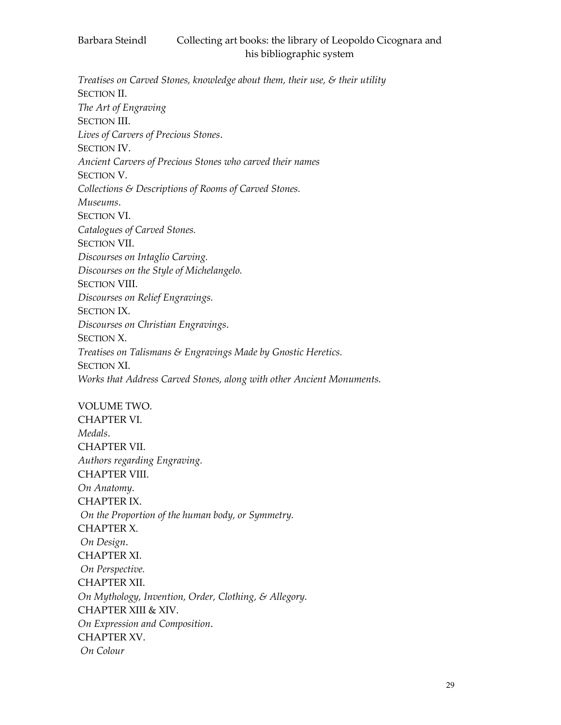*Treatises on Carved Stones, knowledge about them, their use, & their utility* SECTION II. *The Art of Engraving*  SECTION III. *Lives of Carvers of Precious Stones*. SECTION IV. *Ancient Carvers of Precious Stones who carved their names* SECTION V. *Collections & Descriptions of Rooms of Carved Stones. Museums*. SECTION VI. *Catalogues of Carved Stones.* SECTION VII. *Discourses on Intaglio Carving. Discourses on the Style of Michelangelo.* SECTION VIII. *Discourses on Relief Engravings.* SECTION IX. *Discourses on Christian Engravings*. SECTION X. *Treatises on Talismans & Engravings Made by Gnostic Heretics.* SECTION XI. *Works that Address Carved Stones, along with other Ancient Monuments.*

VOLUME TWO.

CHAPTER VI. *Medals*. CHAPTER VII. *Authors regarding Engraving.*  CHAPTER VIII. *On Anatomy*. CHAPTER IX. *On the Proportion of the human body, or Symmetry.*  CHAPTER X. *On Design*. CHAPTER XI. *On Perspective.*  CHAPTER XII. *On Mythology, Invention, Order, Clothing, & Allegory.* CHAPTER XIII & XIV. *On Expression and Composition*. CHAPTER XV. *On Colour*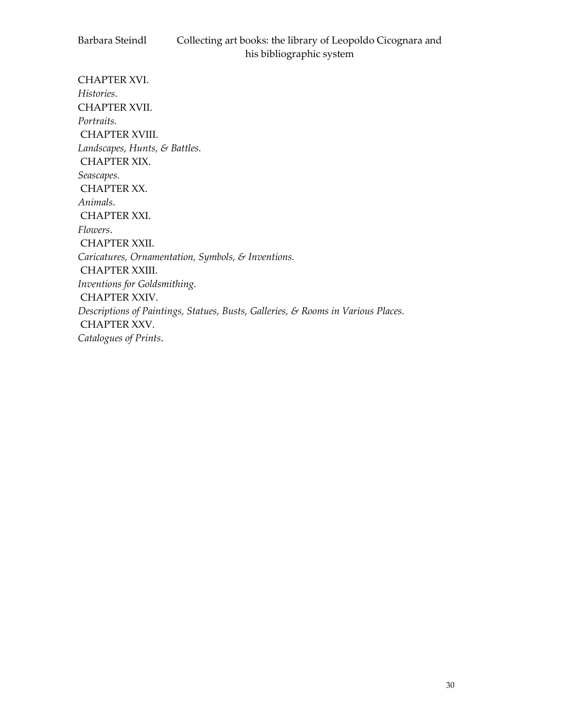CHAPTER XVI. *Histories*. CHAPTER XVII. *Portraits.* CHAPTER XVIII. *Landscapes, Hunts, & Battles.* CHAPTER XIX. *Seascapes.* CHAPTER XX. *Animals*. CHAPTER XXI. *Flowers*. CHAPTER XXII. *Caricatures, Ornamentation, Symbols, & Inventions.* CHAPTER XXIII. *Inventions for Goldsmithing.*  CHAPTER XXIV. *Descriptions of Paintings, Statues, Busts, Galleries, & Rooms in Various Places.*  CHAPTER XXV. *Catalogues of Prints*.